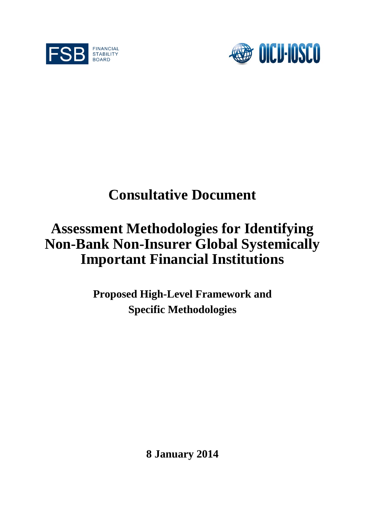



# **Consultative Document**

# **Assessment Methodologies for Identifying Non-Bank Non-Insurer Global Systemically Important Financial Institutions**

**Proposed High-Level Framework and Specific Methodologies**

**8 January 2014**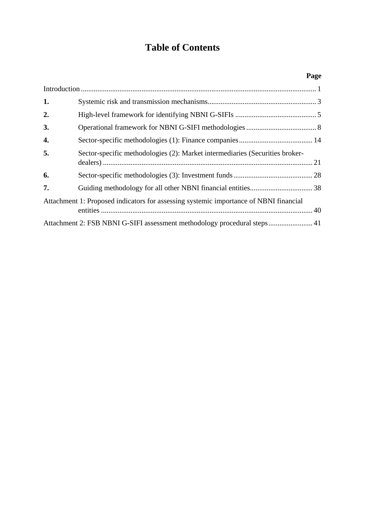## **Table of Contents**

|    |                                                                                       | Page |  |  |
|----|---------------------------------------------------------------------------------------|------|--|--|
|    |                                                                                       |      |  |  |
| 1. |                                                                                       |      |  |  |
| 2. |                                                                                       |      |  |  |
| 3. |                                                                                       |      |  |  |
| 4. |                                                                                       |      |  |  |
| 5. | Sector-specific methodologies (2): Market intermediaries (Securities broker-          |      |  |  |
| 6. |                                                                                       |      |  |  |
| 7. |                                                                                       |      |  |  |
|    | Attachment 1: Proposed indicators for assessing systemic importance of NBNI financial |      |  |  |
|    | Attachment 2: FSB NBNI G-SIFI assessment methodology procedural steps 41              |      |  |  |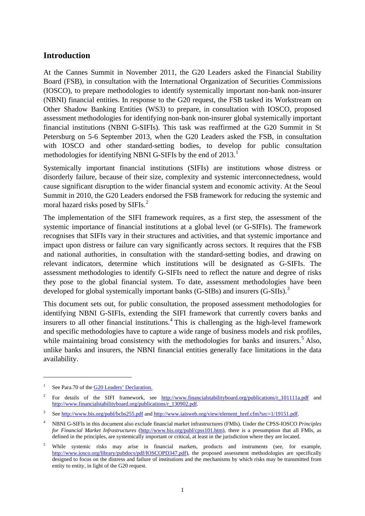## <span id="page-3-0"></span>**Introduction**

At the Cannes Summit in November 2011, the G20 Leaders asked the Financial Stability Board (FSB), in consultation with the International Organization of Securities Commissions (IOSCO), to prepare methodologies to identify systemically important non-bank non-insurer (NBNI) financial entities. In response to the G20 request, the FSB tasked its Workstream on Other Shadow Banking Entities (WS3) to prepare, in consultation with IOSCO, proposed assessment methodologies for identifying non-bank non-insurer global systemically important financial institutions (NBNI G-SIFIs). This task was reaffirmed at the G20 Summit in St Petersburg on 5-6 September 2013, when the G20 Leaders asked the FSB, in consultation with IOSCO and other standard-setting bodies, to develop for public consultation methodologies for identifying NBNI G-SIFIs by the end of 20[1](#page-3-1)3.<sup>1</sup>

Systemically important financial institutions (SIFIs) are institutions whose distress or disorderly failure, because of their size, complexity and systemic interconnectedness, would cause significant disruption to the wider financial system and economic activity. At the Seoul Summit in 2010, the G20 Leaders endorsed the FSB framework for reducing the systemic and moral hazard risks posed by SIFIs. [2](#page-3-2)

The implementation of the SIFI framework requires, as a first step, the assessment of the systemic importance of financial institutions at a global level (or G-SIFIs). The framework recognises that SIFIs vary in their structures and activities, and that systemic importance and impact upon distress or failure can vary significantly across sectors. It requires that the FSB and national authorities, in consultation with the standard-setting bodies, and drawing on relevant indicators, determine which institutions will be designated as G-SIFIs. The assessment methodologies to identify G-SIFIs need to reflect the nature and degree of risks they pose to the global financial system. To date, assessment methodologies have been developed for global systemically important banks (G-SIBs) and insurers (G-SIIs).<sup>[3](#page-3-3)</sup>

This document sets out, for public consultation, the proposed assessment methodologies for identifying NBNI G-SIFIs, extending the SIFI framework that currently covers banks and insurers to all other financial institutions.<sup>[4](#page-3-4)</sup> This is challenging as the high-level framework and specific methodologies have to capture a wide range of business models and risk profiles, while maintaining broad consistency with the methodologies for banks and insurers.<sup>[5](#page-3-5)</sup> Also, unlike banks and insurers, the NBNI financial entities generally face limitations in the data availability.

<span id="page-3-1"></span><sup>&</sup>lt;sup>1</sup> See Para.70 of the [G20 Leaders' Declaration.](http://www.g20.org/news/20130906/782776427.html)

<span id="page-3-2"></span><sup>&</sup>lt;sup>2</sup> For details of the SIFI framework, see http://www.financialstabilityboard.org/publications/r 101111a.pdf and [http://www.financialstabilityboard.org/publications/r\\_130902.pdf.](http://www.financialstabilityboard.org/publications/r_130902.pdf) 

<span id="page-3-3"></span><sup>&</sup>lt;sup>3</sup> Se[e http://www.bis.org/publ/bcbs255.pdf](http://www.bis.org/publ/bcbs255.pdf) and [http://www.iaisweb.org/view/element\\_href.cfm?src=1/19151.pdf.](http://www.iaisweb.org/view/element_href.cfm?src=1/19151.pdf)

<span id="page-3-4"></span><sup>4</sup> NBNI G-SIFIs in this document also exclude financial market infrastructures (FMIs). Under the CPSS-IOSCO *Principles for Financial Market Infrastructures* [\(http://www.bis.org/publ/cpss101.htm\)](http://www.bis.org/publ/cpss101.htm), there is a presumption that all FMIs, as defined in the principles, are systemically important or critical, at least in the jurisdiction where they are located.

<span id="page-3-5"></span><sup>5</sup> While systemic risks may arise in financial markets, products and instruments (see, for example, [http://www.iosco.org/library/pubdocs/pdf/IOSCOPD347.pdf\)](http://www.iosco.org/library/pubdocs/pdf/IOSCOPD347.pdf), the proposed assessment methodologies are specifically designed to focus on the distress and failure of institutions and the mechanisms by which risks may be transmitted from entity to entity, in light of the G20 request.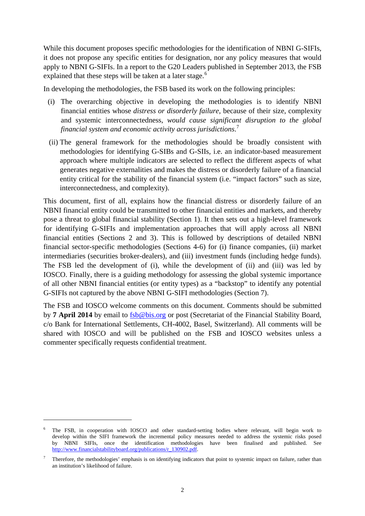While this document proposes specific methodologies for the identification of NBNI G-SIFIs, it does not propose any specific entities for designation, nor any policy measures that would apply to NBNI G-SIFIs. In a report to the G20 Leaders published in September 2013, the FSB explained that these steps will be taken at a later stage.<sup>[6](#page-4-0)</sup>

In developing the methodologies, the FSB based its work on the following principles:

- (i) The overarching objective in developing the methodologies is to identify NBNI financial entities whose *distress or disorderly failure*, because of their size, complexity and systemic interconnectedness, *would cause significant disruption to the global financial system and economic activity across jurisdictions*. [7](#page-4-1)
- (ii) The general framework for the methodologies should be broadly consistent with methodologies for identifying G-SIBs and G-SIIs, i.e. an indicator-based measurement approach where multiple indicators are selected to reflect the different aspects of what generates negative externalities and makes the distress or disorderly failure of a financial entity critical for the stability of the financial system (i.e. "impact factors" such as size, interconnectedness, and complexity).

This document, first of all, explains how the financial distress or disorderly failure of an NBNI financial entity could be transmitted to other financial entities and markets, and thereby pose a threat to global financial stability (Section 1). It then sets out a high-level framework for identifying G-SIFIs and implementation approaches that will apply across all NBNI financial entities (Sections 2 and 3). This is followed by descriptions of detailed NBNI financial sector-specific methodologies (Sections 4-6) for (i) finance companies, (ii) market intermediaries (securities broker-dealers), and (iii) investment funds (including hedge funds). The FSB led the development of (i), while the development of (ii) and (iii) was led by IOSCO. Finally, there is a guiding methodology for assessing the global systemic importance of all other NBNI financial entities (or entity types) as a "backstop" to identify any potential G-SIFIs not captured by the above NBNI G-SIFI methodologies (Section 7).

The FSB and IOSCO welcome comments on this document. Comments should be submitted by **7 April 2014** by email to [fsb@bis.org](mailto:fsb@bis.org) or post (Secretariat of the Financial Stability Board, c/o Bank for International Settlements, CH-4002, Basel, Switzerland). All comments will be shared with IOSCO and will be published on the FSB and IOSCO websites unless a commenter specifically requests confidential treatment.

<span id="page-4-0"></span><sup>6</sup> The FSB, in cooperation with IOSCO and other standard-setting bodies where relevant, will begin work to develop within the SIFI framework the incremental policy measures needed to address the systemic risks posed by NBNI SIFIs, once the identification methodologies have been finalised and published. See [http://www.financialstabilityboard.org/publications/r\\_130902.pdf.](http://www.financialstabilityboard.org/publications/r_130902.pdf)

<span id="page-4-1"></span><sup>&</sup>lt;sup>7</sup> Therefore, the methodologies' emphasis is on identifying indicators that point to systemic impact on failure, rather than an institution's likelihood of failure.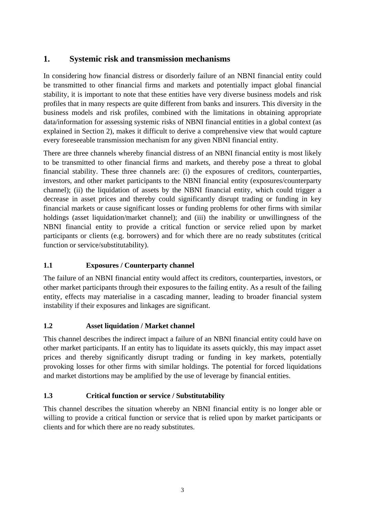## <span id="page-5-0"></span>**1. Systemic risk and transmission mechanisms**

In considering how financial distress or disorderly failure of an NBNI financial entity could be transmitted to other financial firms and markets and potentially impact global financial stability, it is important to note that these entities have very diverse business models and risk profiles that in many respects are quite different from banks and insurers. This diversity in the business models and risk profiles, combined with the limitations in obtaining appropriate data/information for assessing systemic risks of NBNI financial entities in a global context (as explained in Section 2), makes it difficult to derive a comprehensive view that would capture every foreseeable transmission mechanism for any given NBNI financial entity.

There are three channels whereby financial distress of an NBNI financial entity is most likely to be transmitted to other financial firms and markets, and thereby pose a threat to global financial stability. These three channels are: (i) the exposures of creditors, counterparties, investors, and other market participants to the NBNI financial entity (exposures/counterparty channel); (ii) the liquidation of assets by the NBNI financial entity, which could trigger a decrease in asset prices and thereby could significantly disrupt trading or funding in key financial markets or cause significant losses or funding problems for other firms with similar holdings (asset liquidation/market channel); and (iii) the inability or unwillingness of the NBNI financial entity to provide a critical function or service relied upon by market participants or clients (e.g. borrowers) and for which there are no ready substitutes (critical function or service/substitutability).

## **1.1 Exposures / Counterparty channel**

The failure of an NBNI financial entity would affect its creditors, counterparties, investors, or other market participants through their exposures to the failing entity. As a result of the failing entity, effects may materialise in a cascading manner, leading to broader financial system instability if their exposures and linkages are significant.

## **1.2 Asset liquidation / Market channel**

This channel describes the indirect impact a failure of an NBNI financial entity could have on other market participants. If an entity has to liquidate its assets quickly, this may impact asset prices and thereby significantly disrupt trading or funding in key markets, potentially provoking losses for other firms with similar holdings. The potential for forced liquidations and market distortions may be amplified by the use of leverage by financial entities.

## **1.3 Critical function or service / Substitutability**

This channel describes the situation whereby an NBNI financial entity is no longer able or willing to provide a critical function or service that is relied upon by market participants or clients and for which there are no ready substitutes.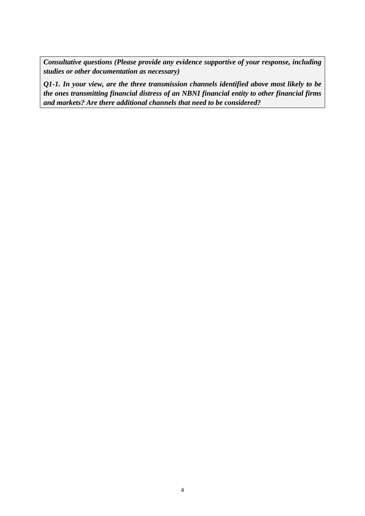*Consultative questions (Please provide any evidence supportive of your response, including studies or other documentation as necessary)*

*Q1-1. In your view, are the three transmission channels identified above most likely to be the ones transmitting financial distress of an NBNI financial entity to other financial firms and markets? Are there additional channels that need to be considered?*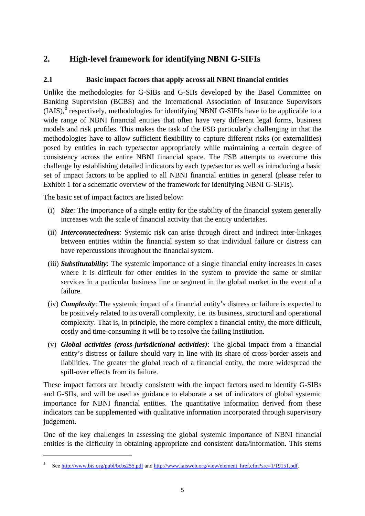## <span id="page-7-0"></span>**2. High-level framework for identifying NBNI G-SIFIs**

## **2.1 Basic impact factors that apply across all NBNI financial entities**

Unlike the methodologies for G-SIBs and G-SIIs developed by the Basel Committee on Banking Supervision (BCBS) and the International Association of Insurance Supervisors  $(IAIS)$ ,<sup>[8](#page-7-1)</sup> respectively, methodologies for identifying NBNI G-SIFIs have to be applicable to a wide range of NBNI financial entities that often have very different legal forms, business models and risk profiles. This makes the task of the FSB particularly challenging in that the methodologies have to allow sufficient flexibility to capture different risks (or externalities) posed by entities in each type/sector appropriately while maintaining a certain degree of consistency across the entire NBNI financial space. The FSB attempts to overcome this challenge by establishing detailed indicators by each type/sector as well as introducing a basic set of impact factors to be applied to all NBNI financial entities in general (please refer to Exhibit 1 for a schematic overview of the framework for identifying NBNI G-SIFIs).

The basic set of impact factors are listed below:

<u>.</u>

- (i) *Size*: The importance of a single entity for the stability of the financial system generally increases with the scale of financial activity that the entity undertakes.
- (ii) *Interconnectedness*: Systemic risk can arise through direct and indirect inter-linkages between entities within the financial system so that individual failure or distress can have repercussions throughout the financial system.
- (iii) *Substitutability*: The systemic importance of a single financial entity increases in cases where it is difficult for other entities in the system to provide the same or similar services in a particular business line or segment in the global market in the event of a failure.
- (iv) *Complexity*: The systemic impact of a financial entity's distress or failure is expected to be positively related to its overall complexity, i.e. its business, structural and operational complexity. That is, in principle, the more complex a financial entity, the more difficult, costly and time-consuming it will be to resolve the failing institution.
- (v) *Global activities (cross-jurisdictional activities)*: The global impact from a financial entity's distress or failure should vary in line with its share of cross-border assets and liabilities. The greater the global reach of a financial entity, the more widespread the spill-over effects from its failure.

These impact factors are broadly consistent with the impact factors used to identify G-SIBs and G-SIIs, and will be used as guidance to elaborate a set of indicators of global systemic importance for NBNI financial entities. The quantitative information derived from these indicators can be supplemented with qualitative information incorporated through supervisory judgement.

One of the key challenges in assessing the global systemic importance of NBNI financial entities is the difficulty in obtaining appropriate and consistent data/information. This stems

<span id="page-7-1"></span><sup>8</sup> Se[e http://www.bis.org/publ/bcbs255.pdf](http://www.bis.org/publ/bcbs255.pdf) and [http://www.iaisweb.org/view/element\\_href.cfm?src=1/19151.pdf.](http://www.iaisweb.org/view/element_href.cfm?src=1/19151.pdf)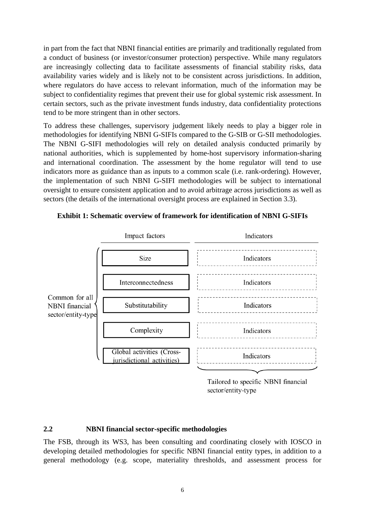in part from the fact that NBNI financial entities are primarily and traditionally regulated from a conduct of business (or investor/consumer protection) perspective. While many regulators are increasingly collecting data to facilitate assessments of financial stability risks, data availability varies widely and is likely not to be consistent across jurisdictions. In addition, where regulators do have access to relevant information, much of the information may be subject to confidentiality regimes that prevent their use for global systemic risk assessment. In certain sectors, such as the private investment funds industry, data confidentiality protections tend to be more stringent than in other sectors.

To address these challenges, supervisory judgement likely needs to play a bigger role in methodologies for identifying NBNI G-SIFIs compared to the G-SIB or G-SII methodologies. The NBNI G-SIFI methodologies will rely on detailed analysis conducted primarily by national authorities, which is supplemented by home-host supervisory information-sharing and international coordination. The assessment by the home regulator will tend to use indicators more as guidance than as inputs to a common scale (i.e. rank-ordering). However, the implementation of such NBNI G-SIFI methodologies will be subject to international oversight to ensure consistent application and to avoid arbitrage across jurisdictions as well as sectors (the details of the international oversight process are explained in Section 3.3).



#### **Exhibit 1: Schematic overview of framework for identification of NBNI G-SIFIs**

Tailored to specific NBNI financial sector/entity-type

#### **2.2 NBNI financial sector-specific methodologies**

The FSB, through its WS3, has been consulting and coordinating closely with IOSCO in developing detailed methodologies for specific NBNI financial entity types, in addition to a general methodology (e.g. scope, materiality thresholds, and assessment process for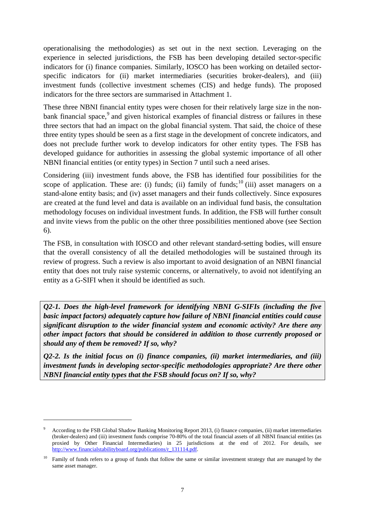operationalising the methodologies) as set out in the next section. Leveraging on the experience in selected jurisdictions, the FSB has been developing detailed sector-specific indicators for (i) finance companies. Similarly, IOSCO has been working on detailed sectorspecific indicators for (ii) market intermediaries (securities broker-dealers), and (iii) investment funds (collective investment schemes (CIS) and hedge funds). The proposed indicators for the three sectors are summarised in Attachment 1.

These three NBNI financial entity types were chosen for their relatively large size in the non-bank financial space,<sup>[9](#page-9-0)</sup> and given historical examples of financial distress or failures in these three sectors that had an impact on the global financial system. That said, the choice of these three entity types should be seen as a first stage in the development of concrete indicators, and does not preclude further work to develop indicators for other entity types. The FSB has developed guidance for authorities in assessing the global systemic importance of all other NBNI financial entities (or entity types) in Section 7 until such a need arises.

Considering (iii) investment funds above, the FSB has identified four possibilities for the scope of application. These are: (i) funds; (ii) family of funds;<sup>[10](#page-9-1)</sup> (iii) asset managers on a stand-alone entity basis; and (iv) asset managers and their funds collectively. Since exposures are created at the fund level and data is available on an individual fund basis, the consultation methodology focuses on individual investment funds. In addition, the FSB will further consult and invite views from the public on the other three possibilities mentioned above (see Section 6).

The FSB, in consultation with IOSCO and other relevant standard-setting bodies, will ensure that the overall consistency of all the detailed methodologies will be sustained through its review of progress. Such a review is also important to avoid designation of an NBNI financial entity that does not truly raise systemic concerns, or alternatively, to avoid not identifying an entity as a G-SIFI when it should be identified as such.

*Q2-1. Does the high-level framework for identifying NBNI G-SIFIs (including the five basic impact factors) adequately capture how failure of NBNI financial entities could cause significant disruption to the wider financial system and economic activity? Are there any other impact factors that should be considered in addition to those currently proposed or should any of them be removed? If so, why?*

*Q2-2. Is the initial focus on (i) finance companies, (ii) market intermediaries, and (iii) investment funds in developing sector-specific methodologies appropriate? Are there other NBNI financial entity types that the FSB should focus on? If so, why?*

<span id="page-9-0"></span>According to the FSB Global Shadow Banking Monitoring Report 2013, (i) finance companies, (ii) market intermediaries (broker-dealers) and (iii) investment funds comprise 70-80% of the total financial assets of all NBNI financial entities (as proxied by Other Financial Intermediaries) in 25 jurisdictions at the end of 2012. For details, see [http://www.financialstabilityboard.org/publications/r\\_131114.pdf.](http://www.financialstabilityboard.org/publications/r_131114.pdf)

<span id="page-9-1"></span><sup>&</sup>lt;sup>10</sup> Family of funds refers to a group of funds that follow the same or similar investment strategy that are managed by the same asset manager.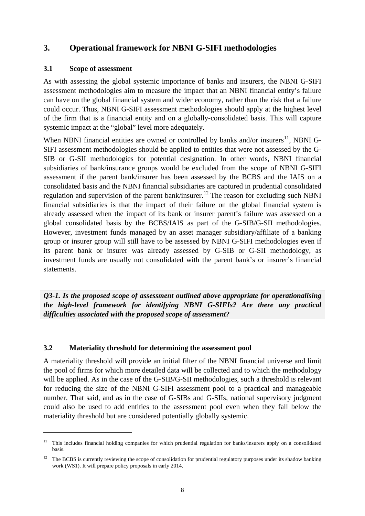## <span id="page-10-0"></span>**3. Operational framework for NBNI G-SIFI methodologies**

#### **3.1 Scope of assessment**

<u>.</u>

As with assessing the global systemic importance of banks and insurers, the NBNI G-SIFI assessment methodologies aim to measure the impact that an NBNI financial entity's failure can have on the global financial system and wider economy, rather than the risk that a failure could occur. Thus, NBNI G-SIFI assessment methodologies should apply at the highest level of the firm that is a financial entity and on a globally-consolidated basis. This will capture systemic impact at the "global" level more adequately.

When NBNI financial entities are owned or controlled by banks and/or insurers $^{11}$ , NBNI G-SIFI assessment methodologies should be applied to entities that were not assessed by the G-SIB or G-SII methodologies for potential designation. In other words, NBNI financial subsidiaries of bank/insurance groups would be excluded from the scope of NBNI G-SIFI assessment if the parent bank/insurer has been assessed by the BCBS and the IAIS on a consolidated basis and the NBNI financial subsidiaries are captured in prudential consolidated regulation and supervision of the parent bank/insurer.<sup>[12](#page-10-2)</sup> The reason for excluding such NBNI financial subsidiaries is that the impact of their failure on the global financial system is already assessed when the impact of its bank or insurer parent's failure was assessed on a global consolidated basis by the BCBS/IAIS as part of the G-SIB/G-SII methodologies. However, investment funds managed by an asset manager subsidiary/affiliate of a banking group or insurer group will still have to be assessed by NBNI G-SIFI methodologies even if its parent bank or insurer was already assessed by G-SIB or G-SII methodology, as investment funds are usually not consolidated with the parent bank's or insurer's financial statements.

*Q3-1. Is the proposed scope of assessment outlined above appropriate for operationalising the high-level framework for identifying NBNI G-SIFIs? Are there any practical difficulties associated with the proposed scope of assessment?* 

#### **3.2 Materiality threshold for determining the assessment pool**

A materiality threshold will provide an initial filter of the NBNI financial universe and limit the pool of firms for which more detailed data will be collected and to which the methodology will be applied. As in the case of the G-SIB/G-SII methodologies, such a threshold is relevant for reducing the size of the NBNI G-SIFI assessment pool to a practical and manageable number. That said, and as in the case of G-SIBs and G-SIIs, national supervisory judgment could also be used to add entities to the assessment pool even when they fall below the materiality threshold but are considered potentially globally systemic.

<span id="page-10-1"></span><sup>&</sup>lt;sup>11</sup> This includes financial holding companies for which prudential regulation for banks/insurers apply on a consolidated basis.

<span id="page-10-2"></span> $12$  The BCBS is currently reviewing the scope of consolidation for prudential regulatory purposes under its shadow banking work (WS1). It will prepare policy proposals in early 2014.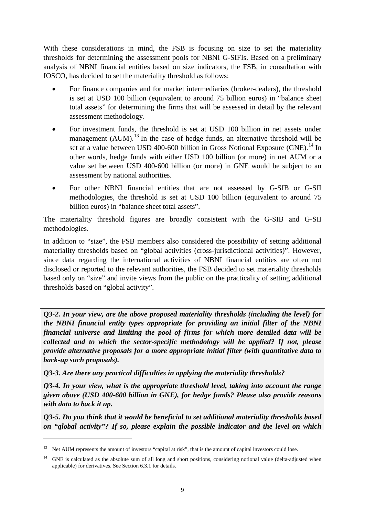With these considerations in mind, the FSB is focusing on size to set the materiality thresholds for determining the assessment pools for NBNI G-SIFIs. Based on a preliminary analysis of NBNI financial entities based on size indicators, the FSB, in consultation with IOSCO, has decided to set the materiality threshold as follows:

- For finance companies and for market intermediaries (broker-dealers), the threshold is set at USD 100 billion (equivalent to around 75 billion euros) in "balance sheet total assets" for determining the firms that will be assessed in detail by the relevant assessment methodology.
- For investment funds, the threshold is set at USD 100 billion in net assets under management  $(AUM)$ .<sup>[13](#page-11-0)</sup> In the case of hedge funds, an alternative threshold will be set at a value between USD 400-600 billion in Gross Notional Exposure (GNE).<sup>[14](#page-11-1)</sup> In other words, hedge funds with either USD 100 billion (or more) in net AUM or a value set between USD 400-600 billion (or more) in GNE would be subject to an assessment by national authorities.
- For other NBNI financial entities that are not assessed by G-SIB or G-SII methodologies, the threshold is set at USD 100 billion (equivalent to around 75 billion euros) in "balance sheet total assets".

The materiality threshold figures are broadly consistent with the G-SIB and G-SII methodologies.

In addition to "size", the FSB members also considered the possibility of setting additional materiality thresholds based on "global activities (cross-jurisdictional activities)". However, since data regarding the international activities of NBNI financial entities are often not disclosed or reported to the relevant authorities, the FSB decided to set materiality thresholds based only on "size" and invite views from the public on the practicality of setting additional thresholds based on "global activity".

*Q3-2. In your view, are the above proposed materiality thresholds (including the level) for the NBNI financial entity types appropriate for providing an initial filter of the NBNI financial universe and limiting the pool of firms for which more detailed data will be collected and to which the sector-specific methodology will be applied? If not, please provide alternative proposals for a more appropriate initial filter (with quantitative data to back-up such proposals).*

*Q3-3. Are there any practical difficulties in applying the materiality thresholds?*

*Q3-4. In your view, what is the appropriate threshold level, taking into account the range given above (USD 400-600 billion in GNE), for hedge funds? Please also provide reasons with data to back it up.*

*Q3-5. Do you think that it would be beneficial to set additional materiality thresholds based on "global activity"? If so, please explain the possible indicator and the level on which* 

<span id="page-11-0"></span><sup>&</sup>lt;sup>13</sup> Net AUM represents the amount of investors "capital at risk", that is the amount of capital investors could lose.

<span id="page-11-1"></span><sup>&</sup>lt;sup>14</sup> GNE is calculated as the absolute sum of all long and short positions, considering notional value (delta-adjusted when applicable) for derivatives. See Section 6.3.1 for details.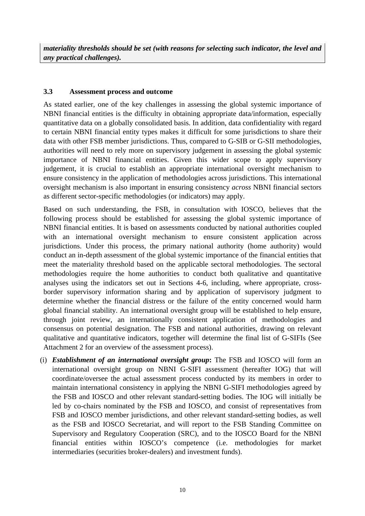#### **3.3 Assessment process and outcome**

As stated earlier, one of the key challenges in assessing the global systemic importance of NBNI financial entities is the difficulty in obtaining appropriate data/information, especially quantitative data on a globally consolidated basis. In addition, data confidentiality with regard to certain NBNI financial entity types makes it difficult for some jurisdictions to share their data with other FSB member jurisdictions. Thus, compared to G-SIB or G-SII methodologies, authorities will need to rely more on supervisory judgement in assessing the global systemic importance of NBNI financial entities. Given this wider scope to apply supervisory judgement, it is crucial to establish an appropriate international oversight mechanism to ensure consistency in the application of methodologies across jurisdictions. This international oversight mechanism is also important in ensuring consistency *across* NBNI financial sectors as different sector-specific methodologies (or indicators) may apply.

Based on such understanding, the FSB, in consultation with IOSCO, believes that the following process should be established for assessing the global systemic importance of NBNI financial entities. It is based on assessments conducted by national authorities coupled with an international oversight mechanism to ensure consistent application across jurisdictions. Under this process, the primary national authority (home authority) would conduct an in-depth assessment of the global systemic importance of the financial entities that meet the materiality threshold based on the applicable sectoral methodologies. The sectoral methodologies require the home authorities to conduct both qualitative and quantitative analyses using the indicators set out in Sections 4-6, including, where appropriate, crossborder supervisory information sharing and by application of supervisory judgment to determine whether the financial distress or the failure of the entity concerned would harm global financial stability. An international oversight group will be established to help ensure, through joint review, an internationally consistent application of methodologies and consensus on potential designation. The FSB and national authorities, drawing on relevant qualitative and quantitative indicators, together will determine the final list of G-SIFIs (See Attachment 2 for an overview of the assessment process).

(i) *Establishment of an international oversight group***:** The FSB and IOSCO will form an international oversight group on NBNI G-SIFI assessment (hereafter IOG) that will coordinate/oversee the actual assessment process conducted by its members in order to maintain international consistency in applying the NBNI G-SIFI methodologies agreed by the FSB and IOSCO and other relevant standard-setting bodies. The IOG will initially be led by co-chairs nominated by the FSB and IOSCO, and consist of representatives from FSB and IOSCO member jurisdictions, and other relevant standard-setting bodies, as well as the FSB and IOSCO Secretariat, and will report to the FSB Standing Committee on Supervisory and Regulatory Cooperation (SRC), and to the IOSCO Board for the NBNI financial entities within IOSCO's competence (i.e. methodologies for market intermediaries (securities broker-dealers) and investment funds).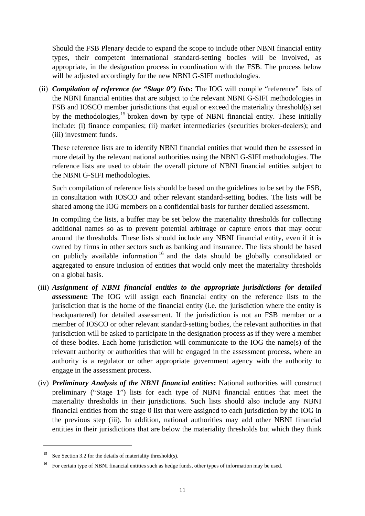Should the FSB Plenary decide to expand the scope to include other NBNI financial entity types, their competent international standard-setting bodies will be involved, as appropriate, in the designation process in coordination with the FSB. The process below will be adjusted accordingly for the new NBNI G-SIFI methodologies.

(ii) *Compilation of reference (or "Stage 0") lists***:** The IOG will compile "reference" lists of the NBNI financial entities that are subject to the relevant NBNI G-SIFI methodologies in FSB and IOSCO member jurisdictions that equal or exceed the materiality threshold(s) set by the methodologies,<sup>[15](#page-13-0)</sup> broken down by type of NBNI financial entity. These initially include: (i) finance companies; (ii) market intermediaries (securities broker-dealers); and (iii) investment funds.

These reference lists are to identify NBNI financial entities that would then be assessed in more detail by the relevant national authorities using the NBNI G-SIFI methodologies. The reference lists are used to obtain the overall picture of NBNI financial entities subject to the NBNI G-SIFI methodologies.

Such compilation of reference lists should be based on the guidelines to be set by the FSB, in consultation with IOSCO and other relevant standard-setting bodies. The lists will be shared among the IOG members on a confidential basis for further detailed assessment.

In compiling the lists, a buffer may be set below the materiality thresholds for collecting additional names so as to prevent potential arbitrage or capture errors that may occur around the thresholds. These lists should include any NBNI financial entity, even if it is owned by firms in other sectors such as banking and insurance. The lists should be based on publicly available information  $16$  and the data should be globally consolidated or aggregated to ensure inclusion of entities that would only meet the materiality thresholds on a global basis.

- (iii) *Assignment of NBNI financial entities to the appropriate jurisdictions for detailed assessment***:** The IOG will assign each financial entity on the reference lists to the jurisdiction that is the home of the financial entity (i.e. the jurisdiction where the entity is headquartered) for detailed assessment. If the jurisdiction is not an FSB member or a member of IOSCO or other relevant standard-setting bodies, the relevant authorities in that jurisdiction will be asked to participate in the designation process as if they were a member of these bodies. Each home jurisdiction will communicate to the IOG the name(s) of the relevant authority or authorities that will be engaged in the assessment process, where an authority is a regulator or other appropriate government agency with the authority to engage in the assessment process.
- (iv) *Preliminary Analysis of the NBNI financial entities***:** National authorities will construct preliminary ("Stage 1") lists for each type of NBNI financial entities that meet the materiality thresholds in their jurisdictions. Such lists should also include any NBNI financial entities from the stage 0 list that were assigned to each jurisdiction by the IOG in the previous step (iii). In addition, national authorities may add other NBNI financial entities in their jurisdictions that are below the materiality thresholds but which they think

-

<span id="page-13-0"></span><sup>&</sup>lt;sup>15</sup> See Section 3.2 for the details of materiality threshold(s).

<span id="page-13-1"></span><sup>16</sup> For certain type of NBNI financial entities such as hedge funds, other types of information may be used.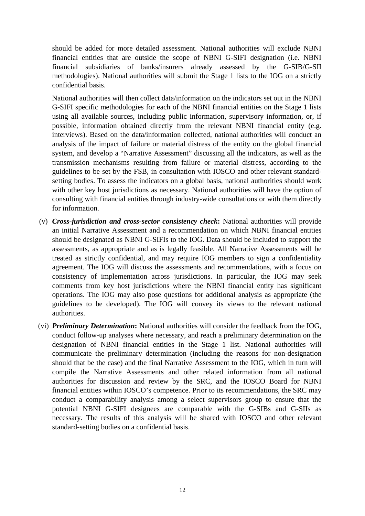should be added for more detailed assessment. National authorities will exclude NBNI financial entities that are outside the scope of NBNI G-SIFI designation (i.e. NBNI financial subsidiaries of banks/insurers already assessed by the G-SIB/G-SII methodologies). National authorities will submit the Stage 1 lists to the IOG on a strictly confidential basis.

National authorities will then collect data/information on the indicators set out in the NBNI G-SIFI specific methodologies for each of the NBNI financial entities on the Stage 1 lists using all available sources, including public information, supervisory information, or, if possible, information obtained directly from the relevant NBNI financial entity (e.g. interviews). Based on the data/information collected, national authorities will conduct an analysis of the impact of failure or material distress of the entity on the global financial system, and develop a "Narrative Assessment" discussing all the indicators, as well as the transmission mechanisms resulting from failure or material distress, according to the guidelines to be set by the FSB, in consultation with IOSCO and other relevant standardsetting bodies. To assess the indicators on a global basis, national authorities should work with other key host jurisdictions as necessary. National authorities will have the option of consulting with financial entities through industry-wide consultations or with them directly for information.

- (v) *Cross-jurisdiction and cross-sector consistency check***:** National authorities will provide an initial Narrative Assessment and a recommendation on which NBNI financial entities should be designated as NBNI G-SIFIs to the IOG. Data should be included to support the assessments, as appropriate and as is legally feasible. All Narrative Assessments will be treated as strictly confidential, and may require IOG members to sign a confidentiality agreement. The IOG will discuss the assessments and recommendations, with a focus on consistency of implementation across jurisdictions. In particular, the IOG may seek comments from key host jurisdictions where the NBNI financial entity has significant operations. The IOG may also pose questions for additional analysis as appropriate (the guidelines to be developed). The IOG will convey its views to the relevant national authorities.
- (vi) *Preliminary Determination***:** National authorities will consider the feedback from the IOG, conduct follow-up analyses where necessary, and reach a preliminary determination on the designation of NBNI financial entities in the Stage 1 list. National authorities will communicate the preliminary determination (including the reasons for non-designation should that be the case) and the final Narrative Assessment to the IOG, which in turn will compile the Narrative Assessments and other related information from all national authorities for discussion and review by the SRC, and the IOSCO Board for NBNI financial entities within IOSCO's competence. Prior to its recommendations, the SRC may conduct a comparability analysis among a select supervisors group to ensure that the potential NBNI G-SIFI designees are comparable with the G-SIBs and G-SIIs as necessary. The results of this analysis will be shared with IOSCO and other relevant standard-setting bodies on a confidential basis.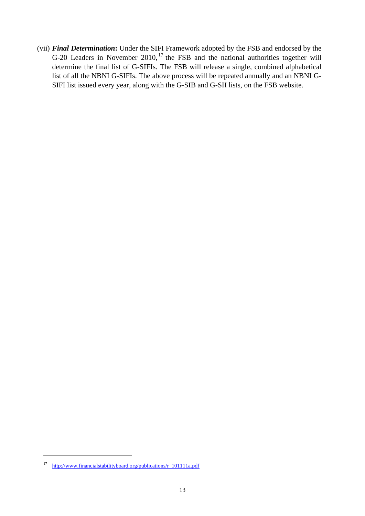(vii) *Final Determination***:** Under the SIFI Framework adopted by the FSB and endorsed by the G-20 Leaders in November 2010,<sup>[17](#page-15-0)</sup> the FSB and the national authorities together will determine the final list of G-SIFIs. The FSB will release a single, combined alphabetical list of all the NBNI G-SIFIs. The above process will be repeated annually and an NBNI G-SIFI list issued every year, along with the G-SIB and G-SII lists, on the FSB website.

<span id="page-15-0"></span><sup>17</sup> [http://www.financialstabilityboard.org/publications/r\\_101111a.pdf](http://www.financialstabilityboard.org/publications/r_101111a.pdf)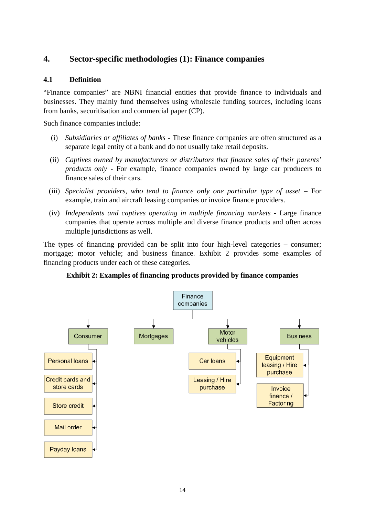## <span id="page-16-0"></span>**4. Sector-specific methodologies (1): Finance companies**

#### **4.1 Definition**

"Finance companies" are NBNI financial entities that provide finance to individuals and businesses. They mainly fund themselves using wholesale funding sources, including loans from banks, securitisation and commercial paper (CP).

Such finance companies include:

- (i) *Subsidiaries or affiliates of banks* **-** These finance companies are often structured as a separate legal entity of a bank and do not usually take retail deposits.
- (ii) *Captives owned by manufacturers or distributors that finance sales of their parents' products only* **-** For example, finance companies owned by large car producers to finance sales of their cars.
- (iii) *Specialist providers, who tend to finance only one particular type of asset* **–** For example, train and aircraft leasing companies or invoice finance providers.
- (iv) *Independents and captives operating in multiple financing markets* **-** Large finance companies that operate across multiple and diverse finance products and often across multiple jurisdictions as well.

The types of financing provided can be split into four high-level categories – consumer; mortgage; motor vehicle; and business finance. Exhibit 2 provides some examples of financing products under each of these categories.

**Exhibit 2: Examples of financing products provided by finance companies**

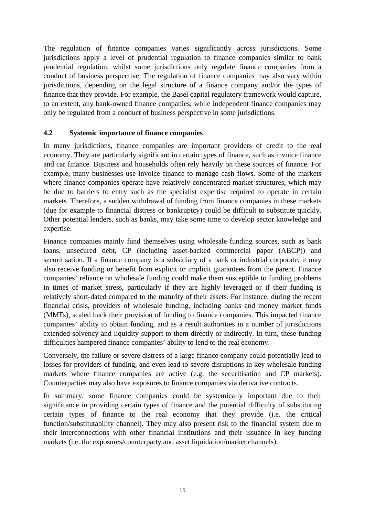The regulation of finance companies varies significantly across jurisdictions. Some jurisdictions apply a level of prudential regulation to finance companies similar to bank prudential regulation, whilst some jurisdictions only regulate finance companies from a conduct of business perspective. The regulation of finance companies may also vary within jurisdictions, depending on the legal structure of a finance company and/or the types of finance that they provide. For example, the Basel capital regulatory framework would capture, to an extent, any bank-owned finance companies, while independent finance companies may only be regulated from a conduct of business perspective in some jurisdictions.

#### **4.2 Systemic importance of finance companies**

In many jurisdictions, finance companies are important providers of credit to the real economy. They are particularly significant in certain types of finance, such as invoice finance and car finance. Business and households often rely heavily on these sources of finance. For example, many businesses use invoice finance to manage cash flows. Some of the markets where finance companies operate have relatively concentrated market structures, which may be due to barriers to entry such as the specialist expertise required to operate in certain markets. Therefore, a sudden withdrawal of funding from finance companies in these markets (due for example to financial distress or bankruptcy) could be difficult to substitute quickly. Other potential lenders, such as banks, may take some time to develop sector knowledge and expertise.

Finance companies mainly fund themselves using wholesale funding sources, such as bank loans, unsecured debt, CP (including asset-backed commercial paper (ABCP)) and securitisation. If a finance company is a subsidiary of a bank or industrial corporate, it may also receive funding or benefit from explicit or implicit guarantees from the parent. Finance companies' reliance on wholesale funding could make them susceptible to funding problems in times of market stress, particularly if they are highly leveraged or if their funding is relatively short-dated compared to the maturity of their assets. For instance, during the recent financial crisis, providers of wholesale funding, including banks and money market funds (MMFs), scaled back their provision of funding to finance companies. This impacted finance companies' ability to obtain funding, and as a result authorities in a number of jurisdictions extended solvency and liquidity support to them directly or indirectly. In turn, these funding difficulties hampered finance companies' ability to lend to the real economy.

Conversely, the failure or severe distress of a large finance company could potentially lead to losses for providers of funding, and even lead to severe disruptions in key wholesale funding markets where finance companies are active (e.g. the securitisation and CP markets). Counterparties may also have exposures to finance companies via derivative contracts.

In summary, some finance companies could be systemically important due to their significance in providing certain types of finance and the potential difficulty of substituting certain types of finance to the real economy that they provide (i.e. the critical function/substitutability channel). They may also present risk to the financial system due to their interconnections with other financial institutions and their issuance in key funding markets (i.e. the exposures/counterparty and asset liquidation/market channels).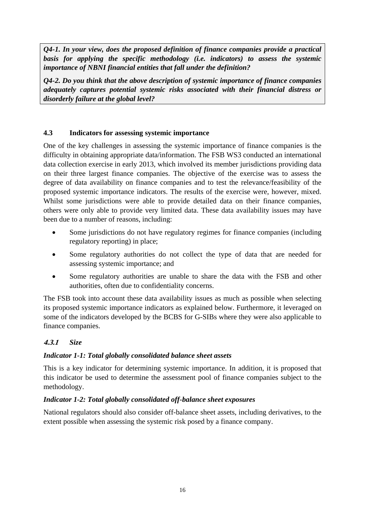*Q4-1. In your view, does the proposed definition of finance companies provide a practical basis for applying the specific methodology (i.e. indicators) to assess the systemic importance of NBNI financial entities that fall under the definition?*

*Q4-2. Do you think that the above description of systemic importance of finance companies adequately captures potential systemic risks associated with their financial distress or disorderly failure at the global level?* 

#### **4.3 Indicators for assessing systemic importance**

One of the key challenges in assessing the systemic importance of finance companies is the difficulty in obtaining appropriate data/information. The FSB WS3 conducted an international data collection exercise in early 2013, which involved its member jurisdictions providing data on their three largest finance companies. The objective of the exercise was to assess the degree of data availability on finance companies and to test the relevance/feasibility of the proposed systemic importance indicators. The results of the exercise were, however, mixed. Whilst some jurisdictions were able to provide detailed data on their finance companies, others were only able to provide very limited data. These data availability issues may have been due to a number of reasons, including:

- Some jurisdictions do not have regulatory regimes for finance companies (including regulatory reporting) in place;
- Some regulatory authorities do not collect the type of data that are needed for assessing systemic importance; and
- Some regulatory authorities are unable to share the data with the FSB and other authorities, often due to confidentiality concerns.

The FSB took into account these data availability issues as much as possible when selecting its proposed systemic importance indicators as explained below. Furthermore, it leveraged on some of the indicators developed by the BCBS for G-SIBs where they were also applicable to finance companies.

## **4.3.1** *Size*

#### *Indicator 1-1: Total globally consolidated balance sheet assets*

This is a key indicator for determining systemic importance. In addition, it is proposed that this indicator be used to determine the assessment pool of finance companies subject to the methodology.

#### *Indicator 1-2: Total globally consolidated off-balance sheet exposures*

National regulators should also consider off-balance sheet assets, including derivatives, to the extent possible when assessing the systemic risk posed by a finance company.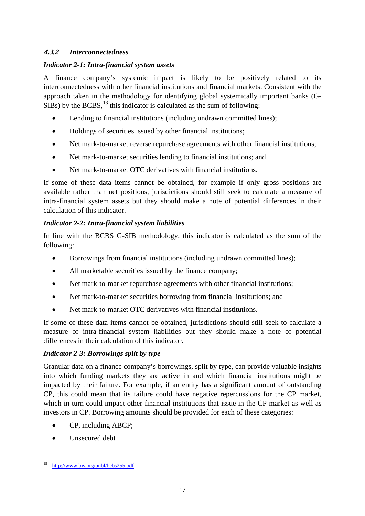#### **4.3.2** *Interconnectedness*

#### *Indicator 2-1: Intra-financial system assets*

A finance company's systemic impact is likely to be positively related to its interconnectedness with other financial institutions and financial markets. Consistent with the approach taken in the methodology for identifying global systemically important banks (G-SIBs) by the BCBS,  $^{18}$  $^{18}$  $^{18}$  this indicator is calculated as the sum of following:

- Lending to financial institutions (including undrawn committed lines);
- Holdings of securities issued by other financial institutions;
- Net mark-to-market reverse repurchase agreements with other financial institutions;
- Net mark-to-market securities lending to financial institutions; and
- Net mark-to-market OTC derivatives with financial institutions.

If some of these data items cannot be obtained, for example if only gross positions are available rather than net positions, jurisdictions should still seek to calculate a measure of intra-financial system assets but they should make a note of potential differences in their calculation of this indicator.

## *Indicator 2-2: Intra-financial system liabilities*

In line with the BCBS G-SIB methodology, this indicator is calculated as the sum of the following:

- Borrowings from financial institutions (including undrawn committed lines);
- All marketable securities issued by the finance company;
- Net mark-to-market repurchase agreements with other financial institutions;
- Net mark-to-market securities borrowing from financial institutions; and
- Net mark-to-market OTC derivatives with financial institutions.

If some of these data items cannot be obtained, jurisdictions should still seek to calculate a measure of intra-financial system liabilities but they should make a note of potential differences in their calculation of this indicator.

## *Indicator 2-3: Borrowings split by type*

Granular data on a finance company's borrowings, split by type, can provide valuable insights into which funding markets they are active in and which financial institutions might be impacted by their failure. For example, if an entity has a significant amount of outstanding CP, this could mean that its failure could have negative repercussions for the CP market, which in turn could impact other financial institutions that issue in the CP market as well as investors in CP. Borrowing amounts should be provided for each of these categories:

- CP, including ABCP;
- Unsecured debt

<span id="page-19-0"></span><http://www.bis.org/publ/bcbs255.pdf>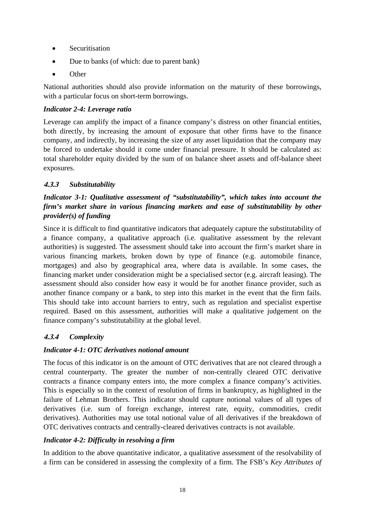- Securitisation
- Due to banks (of which: due to parent bank)
- Other

National authorities should also provide information on the maturity of these borrowings, with a particular focus on short-term borrowings.

#### *Indicator 2-4: Leverage ratio*

Leverage can amplify the impact of a finance company's distress on other financial entities, both directly, by increasing the amount of exposure that other firms have to the finance company, and indirectly, by increasing the size of any asset liquidation that the company may be forced to undertake should it come under financial pressure. It should be calculated as: total shareholder equity divided by the sum of on balance sheet assets and off-balance sheet exposures.

## **4.3.3** *Substitutability*

## *Indicator 3-1: Qualitative assessment of "substitutability", which takes into account the firm's market share in various financing markets and ease of substitutability by other provider(s) of funding*

Since it is difficult to find quantitative indicators that adequately capture the substitutability of a finance company, a qualitative approach (i.e. qualitative assessment by the relevant authorities) is suggested. The assessment should take into account the firm's market share in various financing markets, broken down by type of finance (e.g. automobile finance, mortgages) and also by geographical area, where data is available. In some cases, the financing market under consideration might be a specialised sector (e.g. aircraft leasing). The assessment should also consider how easy it would be for another finance provider, such as another finance company or a bank, to step into this market in the event that the firm fails. This should take into account barriers to entry, such as regulation and specialist expertise required. Based on this assessment, authorities will make a qualitative judgement on the finance company's substitutability at the global level.

## **4.3.4** *Complexity*

## *Indicator 4-1: OTC derivatives notional amount*

The focus of this indicator is on the amount of OTC derivatives that are not cleared through a central counterparty. The greater the number of non-centrally cleared OTC derivative contracts a finance company enters into, the more complex a finance company's activities. This is especially so in the context of resolution of firms in bankruptcy, as highlighted in the failure of Lehman Brothers. This indicator should capture notional values of all types of derivatives (i.e. sum of foreign exchange, interest rate, equity, commodities, credit derivatives). Authorities may use total notional value of all derivatives if the breakdown of OTC derivatives contracts and centrally-cleared derivatives contracts is not available.

## *Indicator 4-2: Difficulty in resolving a firm*

In addition to the above quantitative indicator, a qualitative assessment of the resolvability of a firm can be considered in assessing the complexity of a firm. The FSB's *Key Attributes of*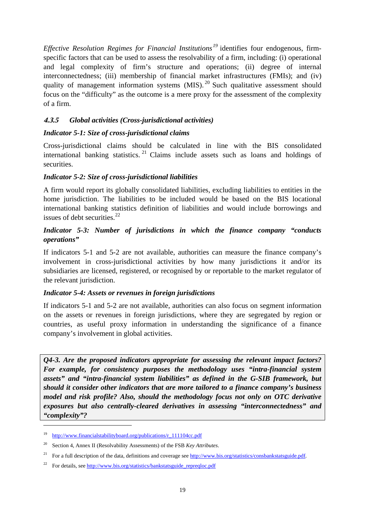*Effective Resolution Regimes for Financial Institutions[19](#page-21-0)* identifies four endogenous, firmspecific factors that can be used to assess the resolvability of a firm, including: (i) operational and legal complexity of firm's structure and operations; (ii) degree of internal interconnectedness; (iii) membership of financial market infrastructures (FMIs); and (iv) quality of management information systems  $(MIS)$ . <sup>[20](#page-21-1)</sup> Such qualitative assessment should focus on the "difficulty" as the outcome is a mere proxy for the assessment of the complexity of a firm.

## **4.3.5** *Global activities (Cross-jurisdictional activities)*

## *Indicator 5-1: Size of cross-jurisdictional claims*

Cross-jurisdictional claims should be calculated in line with the BIS consolidated international banking statistics. [21](#page-21-2) Claims include assets such as loans and holdings of securities.

#### *Indicator 5-2: Size of cross-jurisdictional liabilities*

A firm would report its globally consolidated liabilities, excluding liabilities to entities in the home jurisdiction. The liabilities to be included would be based on the BIS locational international banking statistics definition of liabilities and would include borrowings and issues of debt securities. $^{22}$  $^{22}$  $^{22}$ 

#### *Indicator 5-3: Number of jurisdictions in which the finance company "conducts operations"*

If indicators 5-1 and 5-2 are not available, authorities can measure the finance company's involvement in cross-jurisdictional activities by how many jurisdictions it and/or its subsidiaries are licensed, registered, or recognised by or reportable to the market regulator of the relevant jurisdiction.

#### *Indicator 5-4: Assets or revenues in foreign jurisdictions*

If indicators 5-1 and 5-2 are not available, authorities can also focus on segment information on the assets or revenues in foreign jurisdictions, where they are segregated by region or countries, as useful proxy information in understanding the significance of a finance company's involvement in global activities.

*Q4-3. Are the proposed indicators appropriate for assessing the relevant impact factors? For example, for consistency purposes the methodology uses "intra-financial system assets" and "intra-financial system liabilities" as defined in the G-SIB framework, but should it consider other indicators that are more tailored to a finance company's business model and risk profile? Also, should the methodology focus not only on OTC derivative exposures but also centrally-cleared derivatives in assessing "interconnectedness" and "complexity"?* 

<span id="page-21-0"></span><sup>19</sup> [http://www.financialstabilityboard.org/publications/r\\_111104cc.pdf](http://www.financialstabilityboard.org/publications/r_111104cc.pdf)

<span id="page-21-1"></span><sup>20</sup> Section 4, Annex II (Resolvability Assessments) of the FSB *Key Attributes*.

<span id="page-21-2"></span><sup>&</sup>lt;sup>21</sup> For a full description of the data, definitions and coverage see [http://www.bis.org/statistics/consbankstatsguide.pdf.](http://www.bis.org/statistics/consbankstatsguide.pdf)

<span id="page-21-3"></span><sup>22</sup> For details, se[e http://www.bis.org/statistics/bankstatsguide\\_repreqloc.pdf](http://www.bis.org/statistics/bankstatsguide_repreqloc.pdf)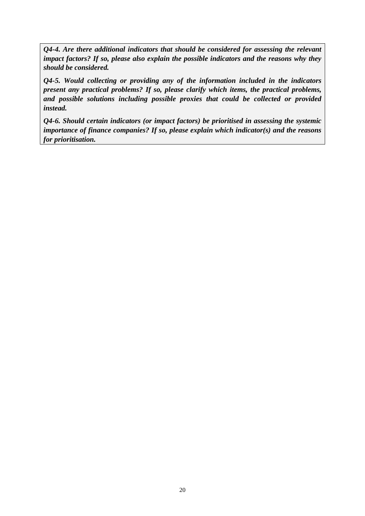*Q4-4. Are there additional indicators that should be considered for assessing the relevant impact factors? If so, please also explain the possible indicators and the reasons why they should be considered.* 

*Q4-5. Would collecting or providing any of the information included in the indicators present any practical problems? If so, please clarify which items, the practical problems, and possible solutions including possible proxies that could be collected or provided instead.*

*Q4-6. Should certain indicators (or impact factors) be prioritised in assessing the systemic importance of finance companies? If so, please explain which indicator(s) and the reasons for prioritisation.*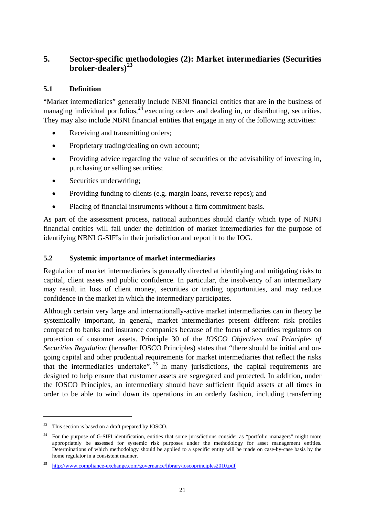## <span id="page-23-0"></span>**5. Sector-specific methodologies (2): Market intermediaries (Securities broker-dealers)[23](#page-23-1)**

## **5.1 Definition**

"Market intermediaries" generally include NBNI financial entities that are in the business of managing individual portfolios,  $24$  executing orders and dealing in, or distributing, securities. They may also include NBNI financial entities that engage in any of the following activities:

- Receiving and transmitting orders;
- Proprietary trading/dealing on own account;
- Providing advice regarding the value of securities or the advisability of investing in, purchasing or selling securities;
- Securities underwriting;
- Providing funding to clients (e.g. margin loans, reverse repos); and
- Placing of financial instruments without a firm commitment basis.

As part of the assessment process, national authorities should clarify which type of NBNI financial entities will fall under the definition of market intermediaries for the purpose of identifying NBNI G-SIFIs in their jurisdiction and report it to the IOG.

#### **5.2 Systemic importance of market intermediaries**

Regulation of market intermediaries is generally directed at identifying and mitigating risks to capital, client assets and public confidence. In particular, the insolvency of an intermediary may result in loss of client money, securities or trading opportunities, and may reduce confidence in the market in which the intermediary participates.

Although certain very large and internationally-active market intermediaries can in theory be systemically important, in general, market intermediaries present different risk profiles compared to banks and insurance companies because of the focus of securities regulators on protection of customer assets. Principle 30 of the *IOSCO Objectives and Principles of Securities Regulation* (hereafter IOSCO Principles) states that "there should be initial and ongoing capital and other prudential requirements for market intermediaries that reflect the risks that the intermediaries undertake".  $25$  In many jurisdictions, the capital requirements are designed to help ensure that customer assets are segregated and protected. In addition, under the IOSCO Principles, an intermediary should have sufficient liquid assets at all times in order to be able to wind down its operations in an orderly fashion, including transferring

<span id="page-23-1"></span><sup>23</sup> This section is based on a draft prepared by IOSCO.

<span id="page-23-2"></span><sup>24</sup> For the purpose of G-SIFI identification, entities that some jurisdictions consider as "portfolio managers" might more appropriately be assessed for systemic risk purposes under the methodology for asset management entities. Determinations of which methodology should be applied to a specific entity will be made on case-by-case basis by the home regulator in a consistent manner.

<span id="page-23-3"></span><sup>25</sup> <http://www.compliance-exchange.com/governance/library/ioscoprinciples2010.pdf>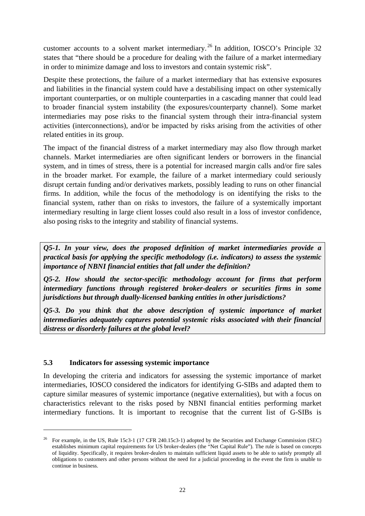customer accounts to a solvent market intermediary. [26](#page-24-0) In addition, IOSCO's Principle 32 states that "there should be a procedure for dealing with the failure of a market intermediary in order to minimize damage and loss to investors and contain systemic risk".

Despite these protections, the failure of a market intermediary that has extensive exposures and liabilities in the financial system could have a destabilising impact on other systemically important counterparties, or on multiple counterparties in a cascading manner that could lead to broader financial system instability (the exposures/counterparty channel). Some market intermediaries may pose risks to the financial system through their intra-financial system activities (interconnections), and/or be impacted by risks arising from the activities of other related entities in its group.

The impact of the financial distress of a market intermediary may also flow through market channels. Market intermediaries are often significant lenders or borrowers in the financial system, and in times of stress, there is a potential for increased margin calls and/or fire sales in the broader market. For example, the failure of a market intermediary could seriously disrupt certain funding and/or derivatives markets, possibly leading to runs on other financial firms. In addition, while the focus of the methodology is on identifying the risks to the financial system, rather than on risks to investors, the failure of a systemically important intermediary resulting in large client losses could also result in a loss of investor confidence, also posing risks to the integrity and stability of financial systems.

*Q5-1. In your view, does the proposed definition of market intermediaries provide a practical basis for applying the specific methodology (i.e. indicators) to assess the systemic importance of NBNI financial entities that fall under the definition?*

*Q5-2. How should the sector-specific methodology account for firms that perform intermediary functions through registered broker-dealers or securities firms in some jurisdictions but through dually-licensed banking entities in other jurisdictions?* 

*Q5-3. Do you think that the above description of systemic importance of market intermediaries adequately captures potential systemic risks associated with their financial distress or disorderly failures at the global level?* 

#### **5.3 Indicators for assessing systemic importance**

-

In developing the criteria and indicators for assessing the systemic importance of market intermediaries, IOSCO considered the indicators for identifying G-SIBs and adapted them to capture similar measures of systemic importance (negative externalities), but with a focus on characteristics relevant to the risks posed by NBNI financial entities performing market intermediary functions. It is important to recognise that the current list of G-SIBs is

<span id="page-24-0"></span><sup>&</sup>lt;sup>26</sup> For example, in the US, Rule 15c3-1 (17 CFR 240.15c3-1) adopted by the Securities and Exchange Commission (SEC) establishes minimum capital requirements for US broker-dealers (the "Net Capital Rule"). The rule is based on concepts of liquidity. Specifically, it requires broker-dealers to maintain sufficient liquid assets to be able to satisfy promptly all obligations to customers and other persons without the need for a judicial proceeding in the event the firm is unable to continue in business.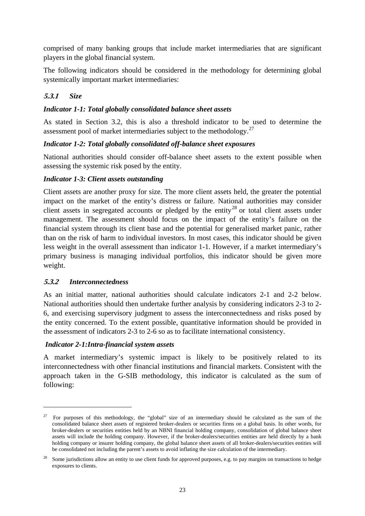comprised of many banking groups that include market intermediaries that are significant players in the global financial system.

The following indicators should be considered in the methodology for determining global systemically important market intermediaries:

#### **5.3.1** *Size*

#### *Indicator 1-1: Total globally consolidated balance sheet assets*

As stated in Section 3.2, this is also a threshold indicator to be used to determine the assessment pool of market intermediaries subject to the methodology.<sup>[27](#page-25-0)</sup>

#### *Indicator 1-2: Total globally consolidated off-balance sheet exposures*

National authorities should consider off-balance sheet assets to the extent possible when assessing the systemic risk posed by the entity.

#### *Indicator 1-3: Client assets outstanding*

Client assets are another proxy for size. The more client assets held, the greater the potential impact on the market of the entity's distress or failure. National authorities may consider client assets in segregated accounts or pledged by the entity<sup>[28](#page-25-1)</sup> or total client assets under management. The assessment should focus on the impact of the entity's failure on the financial system through its client base and the potential for generalised market panic, rather than on the risk of harm to individual investors. In most cases, this indicator should be given less weight in the overall assessment than indicator 1-1. However, if a market intermediary's primary business is managing individual portfolios, this indicator should be given more weight.

#### **5.3.2** *Interconnectedness*

<u>.</u>

As an initial matter, national authorities should calculate indicators 2-1 and 2-2 below. National authorities should then undertake further analysis by considering indicators 2-3 to 2- 6, and exercising supervisory judgment to assess the interconnectedness and risks posed by the entity concerned. To the extent possible, quantitative information should be provided in the assessment of indicators 2-3 to 2-6 so as to facilitate international consistency.

#### *Indicator 2-1:Intra-financial system assets*

A market intermediary's systemic impact is likely to be positively related to its interconnectedness with other financial institutions and financial markets. Consistent with the approach taken in the G-SIB methodology, this indicator is calculated as the sum of following:

<span id="page-25-0"></span><sup>27</sup> For purposes of this methodology, the "global" size of an intermediary should be calculated as the sum of the consolidated balance sheet assets of registered broker-dealers or securities firms on a global basis. In other words, for broker-dealers or securities entities held by an NBNI financial holding company, consolidation of global balance sheet assets will include the holding company. However, if the broker-dealers/securities entities are held directly by a bank holding company or insurer holding company, the global balance sheet assets of all broker-dealers/securities entities will be consolidated not including the parent's assets to avoid inflating the size calculation of the intermediary.

<span id="page-25-1"></span><sup>&</sup>lt;sup>28</sup> Some jurisdictions allow an entity to use client funds for approved purposes, e.g. to pay margins on transactions to hedge exposures to clients.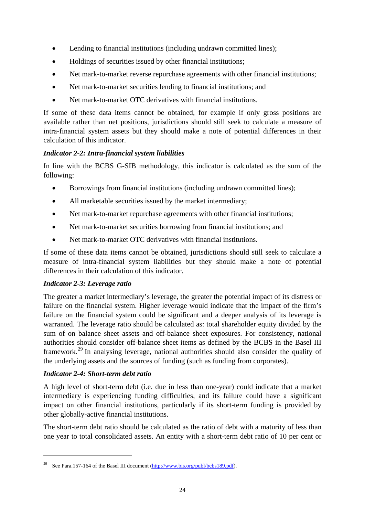- Lending to financial institutions (including undrawn committed lines);
- Holdings of securities issued by other financial institutions;
- Net mark-to-market reverse repurchase agreements with other financial institutions;
- Net mark-to-market securities lending to financial institutions; and
- Net mark-to-market OTC derivatives with financial institutions.

If some of these data items cannot be obtained, for example if only gross positions are available rather than net positions, jurisdictions should still seek to calculate a measure of intra-financial system assets but they should make a note of potential differences in their calculation of this indicator.

#### *Indicator 2-2: Intra-financial system liabilities*

In line with the BCBS G-SIB methodology, this indicator is calculated as the sum of the following:

- Borrowings from financial institutions (including undrawn committed lines);
- All marketable securities issued by the market intermediary;
- Net mark-to-market repurchase agreements with other financial institutions;
- Net mark-to-market securities borrowing from financial institutions; and
- Net mark-to-market OTC derivatives with financial institutions.

If some of these data items cannot be obtained, jurisdictions should still seek to calculate a measure of intra-financial system liabilities but they should make a note of potential differences in their calculation of this indicator.

#### *Indicator 2-3: Leverage ratio*

The greater a market intermediary's leverage, the greater the potential impact of its distress or failure on the financial system. Higher leverage would indicate that the impact of the firm's failure on the financial system could be significant and a deeper analysis of its leverage is warranted. The leverage ratio should be calculated as: total shareholder equity divided by the sum of on balance sheet assets and off-balance sheet exposures. For consistency, national authorities should consider off-balance sheet items as defined by the BCBS in the Basel III framework.[29](#page-26-0) In analysing leverage, national authorities should also consider the quality of the underlying assets and the sources of funding (such as funding from corporates).

#### *Indicator 2-4: Short-term debt ratio*

<u>.</u>

A high level of short-term debt (i.e. due in less than one-year) could indicate that a market intermediary is experiencing funding difficulties, and its failure could have a significant impact on other financial institutions, particularly if its short-term funding is provided by other globally-active financial institutions.

The short-term debt ratio should be calculated as the ratio of debt with a maturity of less than one year to total consolidated assets. An entity with a short-term debt ratio of 10 per cent or

<span id="page-26-0"></span><sup>&</sup>lt;sup>29</sup> See Para.157-164 of the Basel III document  $(\frac{http://www.bis.org/publicbs189.pdf}{http://www.bis.org/publicbs189.pdf})$ .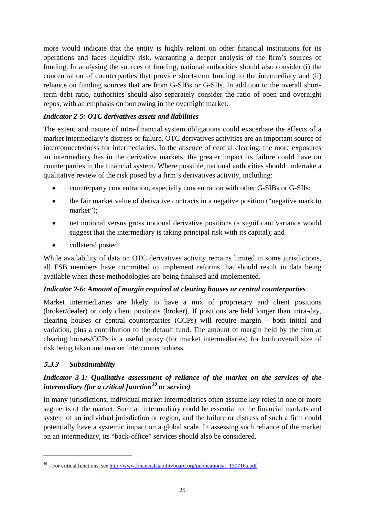more would indicate that the entity is highly reliant on other financial institutions for its operations and faces liquidity risk, warranting a deeper analysis of the firm's sources of funding. In analysing the sources of funding, national authorities should also consider (i) the concentration of counterparties that provide short-term funding to the intermediary and (ii) reliance on funding sources that are from G-SIBs or G-SIIs. In addition to the overall shortterm debt ratio, authorities should also separately consider the ratio of open and overnight repos, with an emphasis on borrowing in the overnight market.

#### *Indicator 2-5: OTC derivatives assets and liabilities*

The extent and nature of intra-financial system obligations could exacerbate the effects of a market intermediary's distress or failure. OTC derivatives activities are an important source of interconnectedness for intermediaries. In the absence of central clearing, the more exposures an intermediary has in the derivative markets, the greater impact its failure could have on counterparties in the financial system. Where possible, national authorities should undertake a qualitative review of the risk posed by a firm's derivatives activity, including:

- counterparty concentration, especially concentration with other G-SIBs or G-SIIs;
- the fair market value of derivative contracts in a negative position ("negative mark to market");
- net notional versus gross notional derivative positions (a significant variance would suggest that the intermediary is taking principal risk with its capital); and
- collateral posted.

While availability of data on OTC derivatives activity remains limited in some jurisdictions, all FSB members have committed to implement reforms that should result in data being available when these methodologies are being finalised and implemented.

## *Indicator 2-6: Amount of margin required at clearing houses or central counterparties*

Market intermediaries are likely to have a mix of proprietary and client positions (broker/dealer) or only client positions (broker). If positions are held longer than intra-day, clearing houses or central counterparties (CCPs) will require margin – both initial and variation, plus a contribution to the default fund. The amount of margin held by the firm at clearing houses/CCPs is a useful proxy (for market intermediaries) for both overall size of risk being taken and market interconnectedness.

## **5.3.3** *Substitutability*

<u>.</u>

## *Indicator 3-1: Qualitative assessment of reliance of the market on the services of the intermediary (for a critical function[30](#page-27-0) or service)*

In many jurisdictions, individual market intermediaries often assume key roles in one or more segments of the market. Such an intermediary could be essential to the financial markets and system of an individual jurisdiction or region, and the failure or distress of such a firm could potentially have a systemic impact on a global scale. In assessing such reliance of the market on an intermediary, its "back-office" services should also be considered.

<span id="page-27-0"></span>For critical functions, see http://www.financialstabilityboard.org/publications/r\_130716a.pdf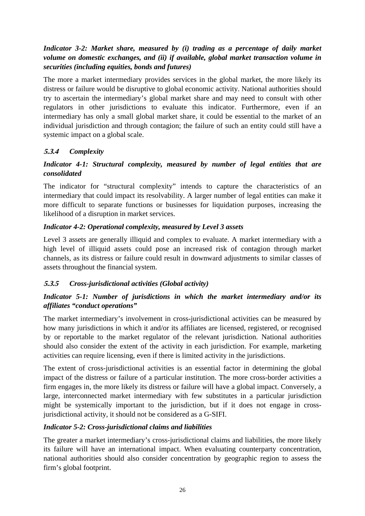## *Indicator 3-2: Market share, measured by (i) trading as a percentage of daily market volume on domestic exchanges, and (ii) if available, global market transaction volume in securities (including equities, bonds and futures)*

The more a market intermediary provides services in the global market, the more likely its distress or failure would be disruptive to global economic activity. National authorities should try to ascertain the intermediary's global market share and may need to consult with other regulators in other jurisdictions to evaluate this indicator. Furthermore, even if an intermediary has only a small global market share, it could be essential to the market of an individual jurisdiction and through contagion; the failure of such an entity could still have a systemic impact on a global scale.

## **5.3.4** *Complexity*

## *Indicator 4-1: Structural complexity, measured by number of legal entities that are consolidated*

The indicator for "structural complexity" intends to capture the characteristics of an intermediary that could impact its resolvability. A larger number of legal entities can make it more difficult to separate functions or businesses for liquidation purposes, increasing the likelihood of a disruption in market services.

## *Indicator 4-2: Operational complexity, measured by Level 3 assets*

Level 3 assets are generally illiquid and complex to evaluate. A market intermediary with a high level of illiquid assets could pose an increased risk of contagion through market channels, as its distress or failure could result in downward adjustments to similar classes of assets throughout the financial system.

## **5.3.5** *Cross-jurisdictional activities (Global activity)*

## *Indicator 5-1: Number of jurisdictions in which the market intermediary and/or its affiliates "conduct operations"*

The market intermediary's involvement in cross-jurisdictional activities can be measured by how many jurisdictions in which it and/or its affiliates are licensed, registered, or recognised by or reportable to the market regulator of the relevant jurisdiction. National authorities should also consider the extent of the activity in each jurisdiction. For example, marketing activities can require licensing, even if there is limited activity in the jurisdictions.

The extent of cross-jurisdictional activities is an essential factor in determining the global impact of the distress or failure of a particular institution. The more cross-border activities a firm engages in, the more likely its distress or failure will have a global impact. Conversely, a large, interconnected market intermediary with few substitutes in a particular jurisdiction might be systemically important to the jurisdiction, but if it does not engage in crossjurisdictional activity, it should not be considered as a G-SIFI.

## *Indicator 5-2: Cross-jurisdictional claims and liabilities*

The greater a market intermediary's cross-jurisdictional claims and liabilities, the more likely its failure will have an international impact. When evaluating counterparty concentration, national authorities should also consider concentration by geographic region to assess the firm's global footprint.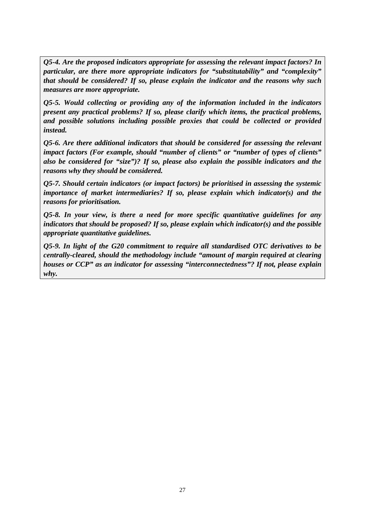*Q5-4. Are the proposed indicators appropriate for assessing the relevant impact factors? In particular, are there more appropriate indicators for "substitutability" and "complexity" that should be considered? If so, please explain the indicator and the reasons why such measures are more appropriate.* 

*Q5-5. Would collecting or providing any of the information included in the indicators present any practical problems? If so, please clarify which items, the practical problems, and possible solutions including possible proxies that could be collected or provided instead.*

*Q5-6. Are there additional indicators that should be considered for assessing the relevant impact factors (For example, should "number of clients" or "number of types of clients" also be considered for "size")? If so, please also explain the possible indicators and the reasons why they should be considered.* 

*Q5-7. Should certain indicators (or impact factors) be prioritised in assessing the systemic importance of market intermediaries? If so, please explain which indicator(s) and the reasons for prioritisation.* 

*Q5-8. In your view, is there a need for more specific quantitative guidelines for any indicators that should be proposed? If so, please explain which indicator(s) and the possible appropriate quantitative guidelines.* 

*Q5-9. In light of the G20 commitment to require all standardised OTC derivatives to be centrally-cleared, should the methodology include "amount of margin required at clearing houses or CCP" as an indicator for assessing "interconnectedness"? If not, please explain why.*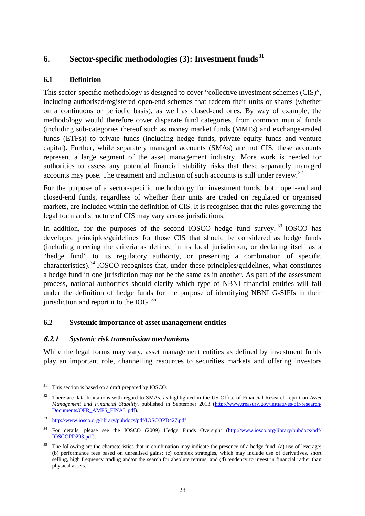## <span id="page-30-0"></span>**6. Sector-specific methodologies (3): Investment funds[31](#page-30-1)**

## **6.1 Definition**

This sector-specific methodology is designed to cover "collective investment schemes (CIS)", including authorised/registered open-end schemes that redeem their units or shares (whether on a continuous or periodic basis), as well as closed-end ones. By way of example, the methodology would therefore cover disparate fund categories, from common mutual funds (including sub-categories thereof such as money market funds (MMFs) and exchange-traded funds (ETFs)) to private funds (including hedge funds, private equity funds and venture capital). Further, while separately managed accounts (SMAs) are not CIS, these accounts represent a large segment of the asset management industry. More work is needed for authorities to assess any potential financial stability risks that these separately managed accounts may pose. The treatment and inclusion of such accounts is still under review.<sup>[32](#page-30-2)</sup>

For the purpose of a sector-specific methodology for investment funds, both open-end and closed-end funds, regardless of whether their units are traded on regulated or organised markets, are included within the definition of CIS. It is recognised that the rules governing the legal form and structure of CIS may vary across jurisdictions.

In addition, for the purposes of the second IOSCO hedge fund survey,  $33$  IOSCO has developed principles/guidelines for those CIS that should be considered as hedge funds (including meeting the criteria as defined in its local jurisdiction, or declaring itself as a "hedge fund" to its regulatory authority, or presenting a combination of specific characteristics).[34](#page-30-4) IOSCO recognises that, under these principles/guidelines, what constitutes a hedge fund in one jurisdiction may not be the same as in another. As part of the assessment process, national authorities should clarify which type of NBNI financial entities will fall under the definition of hedge funds for the purpose of identifying NBNI G-SIFIs in their jurisdiction and report it to the IOG.  $35$ 

## **6.2 Systemic importance of asset management entities**

## **6.2.1** *Systemic risk transmission mechanisms*

While the legal forms may vary, asset management entities as defined by investment funds play an important role, channelling resources to securities markets and offering investors

<span id="page-30-1"></span> $31$  This section is based on a draft prepared by IOSCO.

<span id="page-30-2"></span><sup>32</sup> There are data limitations with regard to SMAs, as highlighted in the US Office of Financial Research report on *Asset Management and Financial Stability*, published in September 2013 [\(http://www.treasury.gov/initiatives/ofr/research/](http://www.treasury.gov/initiatives/ofr/research/Documents/OFR_AMFS_FINAL.pdf) [Documents/OFR\\_AMFS\\_FINAL.pdf\)](http://www.treasury.gov/initiatives/ofr/research/Documents/OFR_AMFS_FINAL.pdf).

<span id="page-30-3"></span><sup>33</sup> <http://www.iosco.org/library/pubdocs/pdf/IOSCOPD427.pdf>

<span id="page-30-4"></span><sup>&</sup>lt;sup>34</sup> For details, please see the IOSCO (2009) Hedge Funds Oversight [\(http://www.iosco.org/library/pubdocs/pdf/](http://www.iosco.org/library/pubdocs/pdf/IOSCOPD293.pdf) [IOSCOPD293.pdf\)](http://www.iosco.org/library/pubdocs/pdf/IOSCOPD293.pdf).

<span id="page-30-5"></span><sup>35</sup> The following are the characteristics that in combination may indicate the presence of a hedge fund: (a) use of leverage; (b) performance fees based on unrealised gains; (c) complex strategies, which may include use of derivatives, short selling, high frequency trading and/or the search for absolute returns; and (d) tendency to invest in financial rather than physical assets.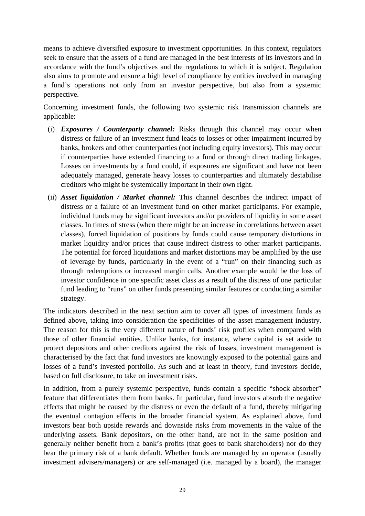means to achieve diversified exposure to investment opportunities. In this context, regulators seek to ensure that the assets of a fund are managed in the best interests of its investors and in accordance with the fund's objectives and the regulations to which it is subject. Regulation also aims to promote and ensure a high level of compliance by entities involved in managing a fund's operations not only from an investor perspective, but also from a systemic perspective.

Concerning investment funds, the following two systemic risk transmission channels are applicable:

- (i) *Exposures / Counterparty channel:* Risks through this channel may occur when distress or failure of an investment fund leads to losses or other impairment incurred by banks, brokers and other counterparties (not including equity investors). This may occur if counterparties have extended financing to a fund or through direct trading linkages. Losses on investments by a fund could, if exposures are significant and have not been adequately managed, generate heavy losses to counterparties and ultimately destabilise creditors who might be systemically important in their own right.
- (ii) *Asset liquidation / Market channel:* This channel describes the indirect impact of distress or a failure of an investment fund on other market participants. For example, individual funds may be significant investors and/or providers of liquidity in some asset classes. In times of stress (when there might be an increase in correlations between asset classes), forced liquidation of positions by funds could cause temporary distortions in market liquidity and/or prices that cause indirect distress to other market participants. The potential for forced liquidations and market distortions may be amplified by the use of leverage by funds, particularly in the event of a "run" on their financing such as through redemptions or increased margin calls. Another example would be the loss of investor confidence in one specific asset class as a result of the distress of one particular fund leading to "runs" on other funds presenting similar features or conducting a similar strategy.

The indicators described in the next section aim to cover all types of investment funds as defined above, taking into consideration the specificities of the asset management industry. The reason for this is the very different nature of funds' risk profiles when compared with those of other financial entities. Unlike banks, for instance, where capital is set aside to protect depositors and other creditors against the risk of losses, investment management is characterised by the fact that fund investors are knowingly exposed to the potential gains and losses of a fund's invested portfolio. As such and at least in theory, fund investors decide, based on full disclosure, to take on investment risks.

In addition, from a purely systemic perspective, funds contain a specific "shock absorber" feature that differentiates them from banks. In particular, fund investors absorb the negative effects that might be caused by the distress or even the default of a fund, thereby mitigating the eventual contagion effects in the broader financial system. As explained above, fund investors bear both upside rewards and downside risks from movements in the value of the underlying assets. Bank depositors, on the other hand, are not in the same position and generally neither benefit from a bank's profits (that goes to bank shareholders) nor do they bear the primary risk of a bank default. Whether funds are managed by an operator (usually investment advisers/managers) or are self-managed (i.e. managed by a board), the manager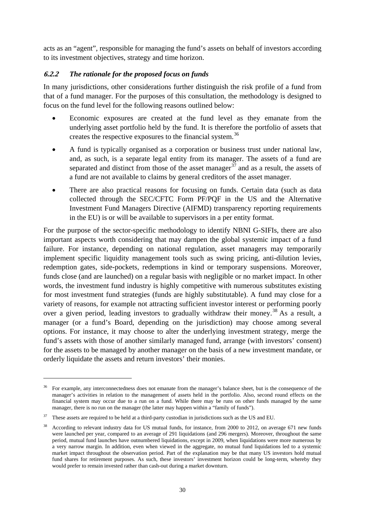acts as an "agent", responsible for managing the fund's assets on behalf of investors according to its investment objectives, strategy and time horizon.

#### **6.2.2** *The rationale for the proposed focus on funds*

In many jurisdictions, other considerations further distinguish the risk profile of a fund from that of a fund manager. For the purposes of this consultation, the methodology is designed to focus on the fund level for the following reasons outlined below:

- Economic exposures are created at the fund level as they emanate from the underlying asset portfolio held by the fund. It is therefore the portfolio of assets that creates the respective exposures to the financial system.<sup>[36](#page-32-0)</sup>
- A fund is typically organised as a corporation or business trust under national law, and, as such, is a separate legal entity from its manager. The assets of a fund are separated and distinct from those of the asset manager<sup>[37](#page-32-1)</sup> and as a result, the assets of a fund are not available to claims by general creditors of the asset manager.
- There are also practical reasons for focusing on funds. Certain data (such as data collected through the SEC/CFTC Form PF/PQF in the US and the Alternative Investment Fund Managers Directive (AIFMD) transparency reporting requirements in the EU) is or will be available to supervisors in a per entity format.

For the purpose of the sector-specific methodology to identify NBNI G-SIFIs, there are also important aspects worth considering that may dampen the global systemic impact of a fund failure. For instance, depending on national regulation, asset managers may temporarily implement specific liquidity management tools such as swing pricing, anti-dilution levies, redemption gates, side-pockets, redemptions in kind or temporary suspensions. Moreover, funds close (and are launched) on a regular basis with negligible or no market impact. In other words, the investment fund industry is highly competitive with numerous substitutes existing for most investment fund strategies (funds are highly substitutable). A fund may close for a variety of reasons, for example not attracting sufficient investor interest or performing poorly over a given period, leading investors to gradually withdraw their money.<sup>[38](#page-32-2)</sup> As a result, a manager (or a fund's Board, depending on the jurisdiction) may choose among several options. For instance, it may choose to alter the underlying investment strategy, merge the fund's assets with those of another similarly managed fund, arrange (with investors' consent) for the assets to be managed by another manager on the basis of a new investment mandate, or orderly liquidate the assets and return investors' their monies.

<span id="page-32-0"></span><sup>36</sup> For example, any interconnectedness does not emanate from the manager's balance sheet, but is the consequence of the manager's activities in relation to the management of assets held in the portfolio. Also, second round effects on the financial system may occur due to a run on a fund. While there may be runs on other funds managed by the same manager, there is no run on the manager (the latter may happen within a "family of funds").

<span id="page-32-1"></span><sup>&</sup>lt;sup>37</sup> These assets are required to be held at a third-party custodian in jurisdictions such as the US and EU.

<span id="page-32-2"></span><sup>&</sup>lt;sup>38</sup> According to relevant industry data for US mutual funds, for instance, from 2000 to 2012, on average 671 new funds were launched per year, compared to an average of 291 liquidations (and 296 mergers). Moreover, throughout the same period, mutual fund launches have outnumbered liquidations, except in 2009, when liquidations were more numerous by a very narrow margin. In addition, even when viewed in the aggregate, no mutual fund liquidations led to a systemic market impact throughout the observation period. Part of the explanation may be that many US investors hold mutual fund shares for retirement purposes. As such, these investors' investment horizon could be long-term, whereby they would prefer to remain invested rather than cash-out during a market downturn.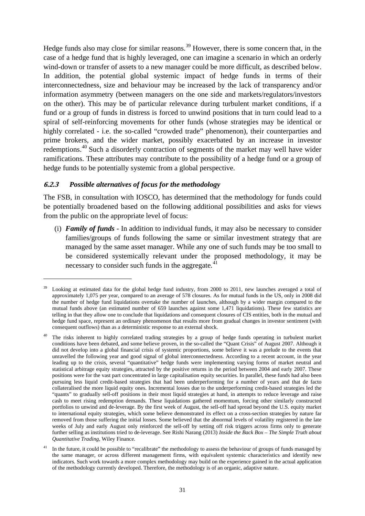Hedge funds also may close for similar reasons.<sup>[39](#page-33-0)</sup> However, there is some concern that, in the case of a hedge fund that is highly leveraged, one can imagine a scenario in which an orderly wind-down or transfer of assets to a new manager could be more difficult, as described below. In addition, the potential global systemic impact of hedge funds in terms of their interconnectedness, size and behaviour may be increased by the lack of transparency and/or information asymmetry (between managers on the one side and markets/regulators/investors on the other). This may be of particular relevance during turbulent market conditions, if a fund or a group of funds in distress is forced to unwind positions that in turn could lead to a spiral of self-reinforcing movements for other funds (whose strategies may be identical or highly correlated - i.e. the so-called "crowded trade" phenomenon), their counterparties and prime brokers, and the wider market, possibly exacerbated by an increase in investor redemptions.<sup>[40](#page-33-1)</sup> Such a disorderly contraction of segments of the market may well have wider ramifications. These attributes may contribute to the possibility of a hedge fund or a group of hedge funds to be potentially systemic from a global perspective.

#### **6.2.3** *Possible alternatives of focus for the methodology*

<u>.</u>

The FSB, in consultation with IOSCO, has determined that the methodology for funds could be potentially broadened based on the following additional possibilities and asks for views from the public on the appropriate level of focus:

(i) *Family of funds* - In addition to individual funds, it may also be necessary to consider families/groups of funds following the same or similar investment strategy that are managed by the same asset manager. While any one of such funds may be too small to be considered systemically relevant under the proposed methodology, it may be necessary to consider such funds in the aggregate. $41$ 

<span id="page-33-0"></span>Looking at estimated data for the global hedge fund industry, from 2000 to 2011, new launches averaged a total of approximately 1,075 per year, compared to an average of 578 closures. As for mutual funds in the US, only in 2008 did the number of hedge fund liquidations overtake the number of launches, although by a wider margin compared to the mutual funds above (an estimated number of 659 launches against some 1,471 liquidations). These few statistics are telling in that they allow one to conclude that liquidations and consequent closures of CIS entities, both in the mutual and hedge fund space, represent an ordinary phenomenon that results more from gradual changes in investor sentiment (with consequent outflows) than as a deterministic response to an external shock.

<span id="page-33-1"></span><sup>40</sup> The risks inherent to highly correlated trading strategies by a group of hedge funds operating in turbulent market conditions have been debated, and some believe proven, in the so-called the "Quant Crisis" of August 2007. Although it did not develop into a global financial crisis of systemic proportions, some believe it was a prelude to the events that unravelled the following year and good signal of global interconnectedness. According to a recent account, in the year leading up to the crisis, several "quantitative" hedge funds were implementing varying forms of market neutral and statistical arbitrage equity strategies, attracted by the positive returns in the period between 2004 and early 2007. These positions were for the vast part concentrated in large capitalisation equity securities. In parallel, these funds had also been pursuing less liquid credit-based strategies that had been underperforming for a number of years and that de facto collateralised the more liquid equity ones. Incremental losses due to the underperforming credit-based strategies led the "quants" to gradually sell-off positions in their most liquid strategies at hand, in attempts to reduce leverage and raise cash to meet rising redemption demands. These liquidations gathered momentum, forcing other similarly constructed portfolios to unwind and de-leverage. By the first week of August, the sell-off had spread beyond the U.S. equity market to international equity strategies, which some believe demonstrated its effect on a cross-section strategies by nature far removed from those suffering the initial losses. Some believed that the abnormal levels of volatility registered in the late weeks of July and early August only reinforced the sell-off by setting off risk triggers across firms only to generate further selling as institutions tried to de-leverage. See Rishi Narang (2013) *Inside the Back Box – The Simple Truth about Quantitative Trading*, Wiley Finance.

<span id="page-33-2"></span>In the future, it could be possible to "recalibrate" the methodology to assess the behaviour of groups of funds managed by the same manager, or across different management firms, with equivalent systemic characteristics and identify new indicators. Such work towards a more complex methodology may build on the experience gained in the actual application of the methodology currently developed. Therefore, the methodology is of an organic, adaptive nature.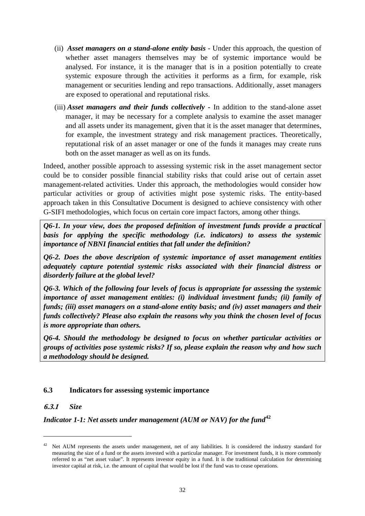- (ii) *Asset managers on a stand-alone entity basis* Under this approach, the question of whether asset managers themselves may be of systemic importance would be analysed. For instance, it is the manager that is in a position potentially to create systemic exposure through the activities it performs as a firm, for example, risk management or securities lending and repo transactions. Additionally, asset managers are exposed to operational and reputational risks.
- (iii) *Asset managers and their funds collectively -* In addition to the stand-alone asset manager, it may be necessary for a complete analysis to examine the asset manager and all assets under its management, given that it is the asset manager that determines, for example, the investment strategy and risk management practices. Theoretically, reputational risk of an asset manager or one of the funds it manages may create runs both on the asset manager as well as on its funds.

Indeed, another possible approach to assessing systemic risk in the asset management sector could be to consider possible financial stability risks that could arise out of certain asset management-related activities. Under this approach, the methodologies would consider how particular activities or group of activities might pose systemic risks. The entity-based approach taken in this Consultative Document is designed to achieve consistency with other G-SIFI methodologies, which focus on certain core impact factors, among other things.

*Q6-1. In your view, does the proposed definition of investment funds provide a practical basis for applying the specific methodology (i.e. indicators) to assess the systemic importance of NBNI financial entities that fall under the definition?*

*Q6-2. Does the above description of systemic importance of asset management entities adequately capture potential systemic risks associated with their financial distress or disorderly failure at the global level?*

*Q6-3. Which of the following four levels of focus is appropriate for assessing the systemic importance of asset management entities: (i) individual investment funds; (ii) family of funds; (iii) asset managers on a stand-alone entity basis; and (iv) asset managers and their funds collectively? Please also explain the reasons why you think the chosen level of focus is more appropriate than others.*

*Q6-4. Should the methodology be designed to focus on whether particular activities or groups of activities pose systemic risks? If so, please explain the reason why and how such a methodology should be designed.*

## **6.3 Indicators for assessing systemic importance**

#### **6.3.1** *Size*

<u>.</u>

#### *Indicator 1-1: Net assets under management (AUM or NAV) for the fund*<sup>[42](#page-34-0)</sup>

<span id="page-34-0"></span><sup>&</sup>lt;sup>42</sup> Net AUM represents the assets under management, net of any liabilities. It is considered the industry standard for measuring the size of a fund or the assets invested with a particular manager. For investment funds, it is more commonly referred to as "net asset value". It represents investor equity in a fund. It is the traditional calculation for determining investor capital at risk, i.e. the amount of capital that would be lost if the fund was to cease operations.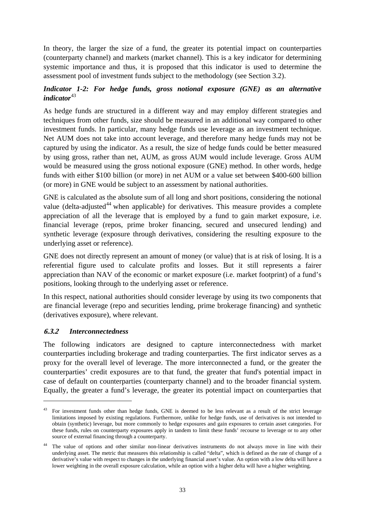In theory, the larger the size of a fund, the greater its potential impact on counterparties (counterparty channel) and markets (market channel). This is a key indicator for determining systemic importance and thus, it is proposed that this indicator is used to determine the assessment pool of investment funds subject to the methodology (see Section 3.2).

#### *Indicator 1-2: For hedge funds, gross notional exposure (GNE) as an alternative indicator*<sup>[43](#page-35-0)</sup>

As hedge funds are structured in a different way and may employ different strategies and techniques from other funds, size should be measured in an additional way compared to other investment funds. In particular, many hedge funds use leverage as an investment technique. Net AUM does not take into account leverage, and therefore many hedge funds may not be captured by using the indicator. As a result, the size of hedge funds could be better measured by using gross, rather than net, AUM, as gross AUM would include leverage. Gross AUM would be measured using the gross notional exposure (GNE) method. In other words, hedge funds with either \$100 billion (or more) in net AUM or a value set between \$400-600 billion (or more) in GNE would be subject to an assessment by national authorities.

GNE is calculated as the absolute sum of all long and short positions, considering the notional value (delta-adjusted<sup>[44](#page-35-1)</sup> when applicable) for derivatives. This measure provides a complete appreciation of all the leverage that is employed by a fund to gain market exposure, i.e. financial leverage (repos, prime broker financing, secured and unsecured lending) and synthetic leverage (exposure through derivatives, considering the resulting exposure to the underlying asset or reference).

GNE does not directly represent an amount of money (or value) that is at risk of losing. It is a referential figure used to calculate profits and losses. But it still represents a fairer appreciation than NAV of the economic or market exposure (i.e. market footprint) of a fund's positions, looking through to the underlying asset or reference.

In this respect, national authorities should consider leverage by using its two components that are financial leverage (repo and securities lending, prime brokerage financing) and synthetic (derivatives exposure), where relevant.

#### **6.3.2** *Interconnectedness*

<u>.</u>

The following indicators are designed to capture interconnectedness with market counterparties including brokerage and trading counterparties. The first indicator serves as a proxy for the overall level of leverage. The more interconnected a fund, or the greater the counterparties' credit exposures are to that fund, the greater that fund's potential impact in case of default on counterparties (counterparty channel) and to the broader financial system. Equally, the greater a fund's leverage, the greater its potential impact on counterparties that

<span id="page-35-0"></span><sup>&</sup>lt;sup>43</sup> For investment funds other than hedge funds, GNE is deemed to be less relevant as a result of the strict leverage limitations imposed by existing regulations. Furthermore, unlike for hedge funds, use of derivatives is not intended to obtain (synthetic) leverage, but more commonly to hedge exposures and gain exposures to certain asset categories. For these funds, rules on counterparty exposures apply in tandem to limit these funds' recourse to leverage or to any other source of external financing through a counterparty.

<span id="page-35-1"></span>The value of options and other similar non-linear derivatives instruments do not always move in line with their underlying asset. The metric that measures this relationship is called "delta", which is defined as the rate of change of a derivative's value with respect to changes in the underlying financial asset's value. An option with a low delta will have a lower weighting in the overall exposure calculation, while an option with a higher delta will have a higher weighting.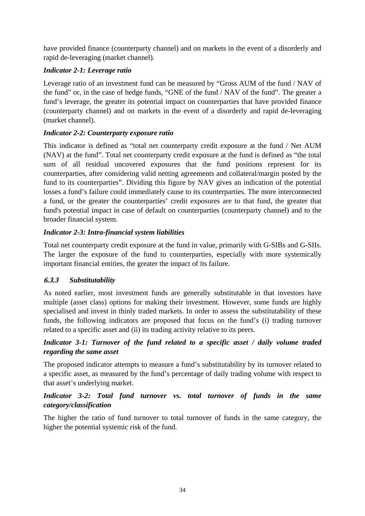have provided finance (counterparty channel) and on markets in the event of a disorderly and rapid de-leveraging (market channel).

## *Indicator 2-1: Leverage ratio*

Leverage ratio of an investment fund can be measured by "Gross AUM of the fund / NAV of the fund" or, in the case of hedge funds, "GNE of the fund / NAV of the fund". The greater a fund's leverage, the greater its potential impact on counterparties that have provided finance (counterparty channel) and on markets in the event of a disorderly and rapid de-leveraging (market channel).

## *Indicator 2-2: Counterparty exposure ratio*

This indicator is defined as "total net counterparty credit exposure at the fund / Net AUM (NAV) at the fund". Total net counterparty credit exposure at the fund is defined as "the total sum of all residual uncovered exposures that the fund positions represent for its counterparties, after considering valid netting agreements and collateral/margin posted by the fund to its counterparties". Dividing this figure by NAV gives an indication of the potential losses a fund's failure could immediately cause to its counterparties. The more interconnected a fund, or the greater the counterparties' credit exposures are to that fund, the greater that fund's potential impact in case of default on counterparties (counterparty channel) and to the broader financial system.

## *Indicator 2-3: Intra-financial system liabilities*

Total net counterparty credit exposure at the fund in value, primarily with G-SIBs and G-SIIs. The larger the exposure of the fund to counterparties, especially with more systemically important financial entities, the greater the impact of its failure.

## **6.3.3** *Substitutability*

As noted earlier, most investment funds are generally substitutable in that investors have multiple (asset class) options for making their investment. However, some funds are highly specialised and invest in thinly traded markets. In order to assess the substitutability of these funds, the following indicators are proposed that focus on the fund's (i) trading turnover related to a specific asset and (ii) its trading activity relative to its peers.

## *Indicator 3-1: Turnover of the fund related to a specific asset / daily volume traded regarding the same asset*

The proposed indicator attempts to measure a fund's substitutability by its turnover related to a specific asset, as measured by the fund's percentage of daily trading volume with respect to that asset's underlying market.

## *Indicator 3-2: Total fund turnover vs. total turnover of funds in the same category/classification*

The higher the ratio of fund turnover to total turnover of funds in the same category, the higher the potential systemic risk of the fund.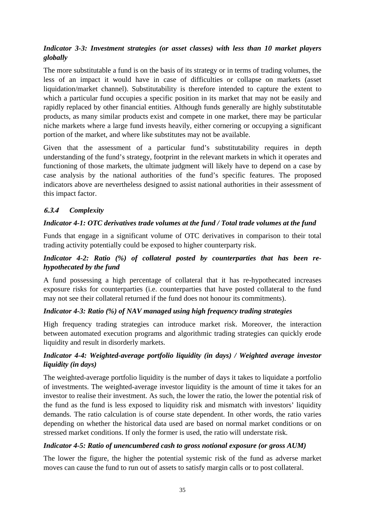## *Indicator 3-3: Investment strategies (or asset classes) with less than 10 market players globally*

The more substitutable a fund is on the basis of its strategy or in terms of trading volumes, the less of an impact it would have in case of difficulties or collapse on markets (asset liquidation/market channel). Substitutability is therefore intended to capture the extent to which a particular fund occupies a specific position in its market that may not be easily and rapidly replaced by other financial entities. Although funds generally are highly substitutable products, as many similar products exist and compete in one market, there may be particular niche markets where a large fund invests heavily, either cornering or occupying a significant portion of the market, and where like substitutes may not be available.

Given that the assessment of a particular fund's substitutability requires in depth understanding of the fund's strategy, footprint in the relevant markets in which it operates and functioning of those markets, the ultimate judgment will likely have to depend on a case by case analysis by the national authorities of the fund's specific features. The proposed indicators above are nevertheless designed to assist national authorities in their assessment of this impact factor.

## **6.3.4** *Complexity*

#### *Indicator 4-1: OTC derivatives trade volumes at the fund / Total trade volumes at the fund*

Funds that engage in a significant volume of OTC derivatives in comparison to their total trading activity potentially could be exposed to higher counterparty risk.

#### *Indicator 4-2: Ratio (%) of collateral posted by counterparties that has been rehypothecated by the fund*

A fund possessing a high percentage of collateral that it has re-hypothecated increases exposure risks for counterparties (i.e. counterparties that have posted collateral to the fund may not see their collateral returned if the fund does not honour its commitments).

#### *Indicator 4-3: Ratio (%) of NAV managed using high frequency trading strategies*

High frequency trading strategies can introduce market risk. Moreover, the interaction between automated execution programs and algorithmic trading strategies can quickly erode liquidity and result in disorderly markets.

## *Indicator 4-4: Weighted-average portfolio liquidity (in days) / Weighted average investor liquidity (in days)*

The weighted-average portfolio liquidity is the number of days it takes to liquidate a portfolio of investments. The weighted-average investor liquidity is the amount of time it takes for an investor to realise their investment. As such, the lower the ratio, the lower the potential risk of the fund as the fund is less exposed to liquidity risk and mismatch with investors' liquidity demands. The ratio calculation is of course state dependent. In other words, the ratio varies depending on whether the historical data used are based on normal market conditions or on stressed market conditions. If only the former is used, the ratio will understate risk.

## *Indicator 4-5: Ratio of unencumbered cash to gross notional exposure (or gross AUM)*

The lower the figure, the higher the potential systemic risk of the fund as adverse market moves can cause the fund to run out of assets to satisfy margin calls or to post collateral.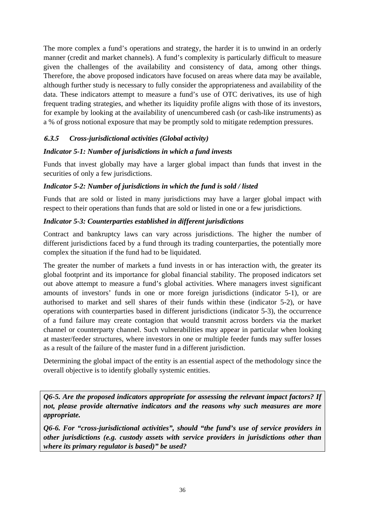The more complex a fund's operations and strategy, the harder it is to unwind in an orderly manner (credit and market channels). A fund's complexity is particularly difficult to measure given the challenges of the availability and consistency of data, among other things. Therefore, the above proposed indicators have focused on areas where data may be available, although further study is necessary to fully consider the appropriateness and availability of the data. These indicators attempt to measure a fund's use of OTC derivatives, its use of high frequent trading strategies, and whether its liquidity profile aligns with those of its investors, for example by looking at the availability of unencumbered cash (or cash-like instruments) as a % of gross notional exposure that may be promptly sold to mitigate redemption pressures.

## **6.3.5** *Cross-jurisdictional activities (Global activity)*

#### *Indicator 5-1: Number of jurisdictions in which a fund invests*

Funds that invest globally may have a larger global impact than funds that invest in the securities of only a few jurisdictions.

#### *Indicator 5-2: Number of jurisdictions in which the fund is sold / listed*

Funds that are sold or listed in many jurisdictions may have a larger global impact with respect to their operations than funds that are sold or listed in one or a few jurisdictions.

#### *Indicator 5-3: Counterparties established in different jurisdictions*

Contract and bankruptcy laws can vary across jurisdictions. The higher the number of different jurisdictions faced by a fund through its trading counterparties, the potentially more complex the situation if the fund had to be liquidated.

The greater the number of markets a fund invests in or has interaction with, the greater its global footprint and its importance for global financial stability. The proposed indicators set out above attempt to measure a fund's global activities. Where managers invest significant amounts of investors' funds in one or more foreign jurisdictions (indicator 5-1), or are authorised to market and sell shares of their funds within these (indicator 5-2), or have operations with counterparties based in different jurisdictions (indicator 5-3), the occurrence of a fund failure may create contagion that would transmit across borders via the market channel or counterparty channel. Such vulnerabilities may appear in particular when looking at master/feeder structures, where investors in one or multiple feeder funds may suffer losses as a result of the failure of the master fund in a different jurisdiction.

Determining the global impact of the entity is an essential aspect of the methodology since the overall objective is to identify globally systemic entities.

*Q6-5. Are the proposed indicators appropriate for assessing the relevant impact factors? If not, please provide alternative indicators and the reasons why such measures are more appropriate.* 

*Q6-6. For "cross-jurisdictional activities", should "the fund's use of service providers in other jurisdictions (e.g. custody assets with service providers in jurisdictions other than where its primary regulator is based)" be used?*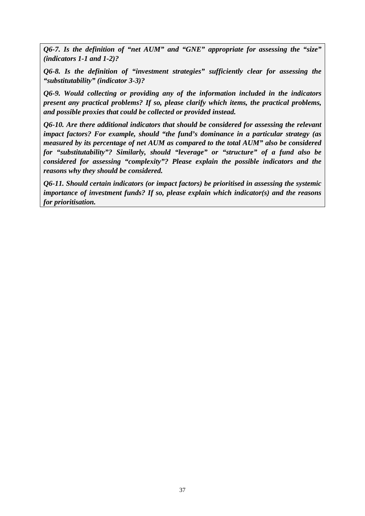*Q6-7. Is the definition of "net AUM" and "GNE" appropriate for assessing the "size" (indicators 1-1 and 1-2)?*

*Q6-8. Is the definition of "investment strategies" sufficiently clear for assessing the "substitutability" (indicator 3-3)?*

*Q6-9. Would collecting or providing any of the information included in the indicators present any practical problems? If so, please clarify which items, the practical problems, and possible proxies that could be collected or provided instead.*

*Q6-10. Are there additional indicators that should be considered for assessing the relevant impact factors? For example, should "the fund's dominance in a particular strategy (as measured by its percentage of net AUM as compared to the total AUM" also be considered for "substitutability"? Similarly, should "leverage" or "structure" of a fund also be considered for assessing "complexity"? Please explain the possible indicators and the reasons why they should be considered.* 

*Q6-11. Should certain indicators (or impact factors) be prioritised in assessing the systemic importance of investment funds? If so, please explain which indicator(s) and the reasons for prioritisation.*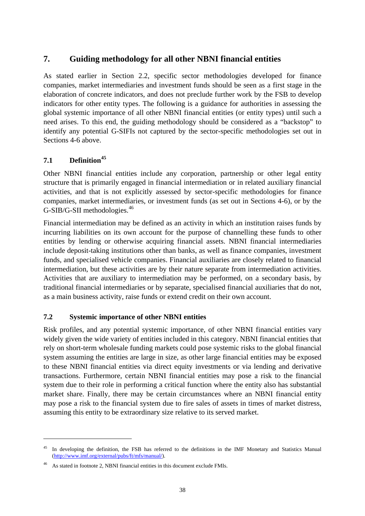## <span id="page-40-0"></span>**7. Guiding methodology for all other NBNI financial entities**

As stated earlier in Section 2.2, specific sector methodologies developed for finance companies, market intermediaries and investment funds should be seen as a first stage in the elaboration of concrete indicators, and does not preclude further work by the FSB to develop indicators for other entity types. The following is a guidance for authorities in assessing the global systemic importance of all other NBNI financial entities (or entity types) until such a need arises. To this end, the guiding methodology should be considered as a "backstop" to identify any potential G-SIFIs not captured by the sector-specific methodologies set out in Sections 4-6 above.

## **7.1 Definition[45](#page-40-1)**

<u>.</u>

Other NBNI financial entities include any corporation, partnership or other legal entity structure that is primarily engaged in financial intermediation or in related auxiliary financial activities, and that is not explicitly assessed by sector-specific methodologies for finance companies, market intermediaries, or investment funds (as set out in Sections 4-6), or by the G-SIB/G-SII methodologies.[46](#page-40-2)

Financial intermediation may be defined as an activity in which an institution raises funds by incurring liabilities on its own account for the purpose of channelling these funds to other entities by lending or otherwise acquiring financial assets. NBNI financial intermediaries include deposit-taking institutions other than banks, as well as finance companies, investment funds, and specialised vehicle companies. Financial auxiliaries are closely related to financial intermediation, but these activities are by their nature separate from intermediation activities. Activities that are auxiliary to intermediation may be performed, on a secondary basis, by traditional financial intermediaries or by separate, specialised financial auxiliaries that do not, as a main business activity, raise funds or extend credit on their own account.

#### **7.2 Systemic importance of other NBNI entities**

Risk profiles, and any potential systemic importance, of other NBNI financial entities vary widely given the wide variety of entities included in this category. NBNI financial entities that rely on short-term wholesale funding markets could pose systemic risks to the global financial system assuming the entities are large in size, as other large financial entities may be exposed to these NBNI financial entities via direct equity investments or via lending and derivative transactions. Furthermore, certain NBNI financial entities may pose a risk to the financial system due to their role in performing a critical function where the entity also has substantial market share. Finally, there may be certain circumstances where an NBNI financial entity may pose a risk to the financial system due to fire sales of assets in times of market distress, assuming this entity to be extraordinary size relative to its served market.

<span id="page-40-1"></span><sup>&</sup>lt;sup>45</sup> In developing the definition, the FSB has referred to the definitions in the IMF Monetary and Statistics Manual [\(http://www.imf.org/external/pubs/ft/mfs/manual/\)](http://www.imf.org/external/pubs/ft/mfs/manual/).

<span id="page-40-2"></span>As stated in footnote 2, NBNI financial entities in this document exclude FMIs.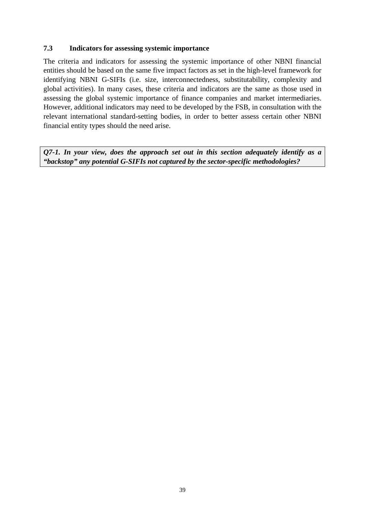#### **7.3 Indicators for assessing systemic importance**

The criteria and indicators for assessing the systemic importance of other NBNI financial entities should be based on the same five impact factors as set in the high-level framework for identifying NBNI G-SIFIs (i.e. size, interconnectedness, substitutability, complexity and global activities). In many cases, these criteria and indicators are the same as those used in assessing the global systemic importance of finance companies and market intermediaries. However, additional indicators may need to be developed by the FSB, in consultation with the relevant international standard-setting bodies, in order to better assess certain other NBNI financial entity types should the need arise.

*Q7-1. In your view, does the approach set out in this section adequately identify as a "backstop" any potential G-SIFIs not captured by the sector-specific methodologies?*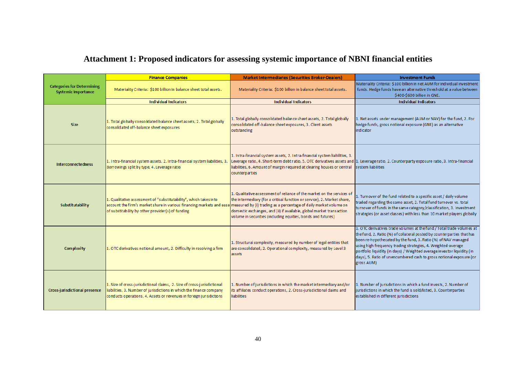## **Attachment 1: Proposed indicators for assessing systemic importance of NBNI financial entities**

<span id="page-42-0"></span>

|                                                                 | <b>Finance Companies</b>                                                                                                                                                                                                                                          | <b>Market Intermediaries (Securities Broker-Dealers)</b>                                                                                                                                                                                                                                                                  | <b>Investment Funds</b>                                                                                                                                                                                                                                                                                                                                                                                                                          |
|-----------------------------------------------------------------|-------------------------------------------------------------------------------------------------------------------------------------------------------------------------------------------------------------------------------------------------------------------|---------------------------------------------------------------------------------------------------------------------------------------------------------------------------------------------------------------------------------------------------------------------------------------------------------------------------|--------------------------------------------------------------------------------------------------------------------------------------------------------------------------------------------------------------------------------------------------------------------------------------------------------------------------------------------------------------------------------------------------------------------------------------------------|
| <b>Categories for Determining</b><br><b>Systemic Importance</b> | Materiality Criteria: \$100 billion in balance sheet total assets.                                                                                                                                                                                                | Materiality Criteria: \$100 billion in balance sheet total assets.                                                                                                                                                                                                                                                        | Materiality Criteria: \$100 billion in net AUM for individual investment<br>funds. Hedge funds have an alternative threshold at a value between<br>\$400-\$600 billion in GNE.                                                                                                                                                                                                                                                                   |
|                                                                 | <b>Individual Indicators</b>                                                                                                                                                                                                                                      | <b>Individual Indicators</b>                                                                                                                                                                                                                                                                                              | <b>Individual Indicators</b>                                                                                                                                                                                                                                                                                                                                                                                                                     |
| <b>Size</b>                                                     | 1. Total globally consolidated balance sheet assets, 2. Total globally<br>consolidated off-balance sheet exposures                                                                                                                                                | 1. Total globally consolidated balance sheet assets, 2. Total globally<br>consolidated off-balance sheet exposures, 3. Client assets<br>outstanding                                                                                                                                                                       | 1. Net assets under management (AUM or NAV) for the fund, 2. For<br>hedge funds, gross notional exposure (GNE) as an alternative<br>indicator                                                                                                                                                                                                                                                                                                    |
| <b>Interconnectedness</b>                                       | 1. Intra-financial system assets, 2. Intra-financial system liabilities, 3.<br>Borrowings split by type, 4. Leverage ratio                                                                                                                                        | 1. Intra-financial system assets, 2. Intra-financial system liabilities, 3.<br>Leverage ratio, 4. Short-term debt ratio, 5. OTC derivatives assets and 1. Leverage ratio, 2. Counterparty exposure ratio, 3. Intra-financial<br>liabilities, 6. Amount of margin required at clearing houses or central<br>counterparties | system liabilities                                                                                                                                                                                                                                                                                                                                                                                                                               |
| <b>Substitutability</b>                                         | 1. Qualitative assessment of "substitutability", which takes into<br>account the firm's market share in various financing markets and ease measured by (i) trading as a percentage of daily market volume on<br>of substitability by other provider(s) of funding | 1. Qualitative assessment of reliance of the market on the services of<br>the intermediary (for a critical function or service), 2. Market share,<br>domestic exchanges, and (ii) if available, global market transaction<br>volume in securities (including equities, bonds and futures)                                 | 1. Turnover of the fund related to a specific asset / daily volume<br>traded regarding the same asset, 2. Total fund turnover vs. total<br>turnover of funds in the same category/classification, 3. Investment<br>strategies (or asset classes) with less than 10 market players globally                                                                                                                                                       |
| Complexity                                                      | 1. OTC derivatives notional amount, 2. Difficulty in resolving a firm                                                                                                                                                                                             | 1. Structural complexity, measured by number of legal entities that<br>are consolidated, 2. Operational complexity, measured by Level 3<br>assets                                                                                                                                                                         | 1. OTC derivatives trade volumes at the fund / Total trade volumes at<br>the fund, 2. Ratio (%) of collateral posted by counterparties that has<br>been re-hypothecated by the fund, 3. Ratio (%) of NAV managed<br>using high frequency trading strategies, 4. Weighted-average<br>portfolio liquidity (in days) / Weighted average investor liquidity (in<br>days), 5. Ratio of unencumbered cash to gross notional exposure (or<br>gross AUM) |
| <b>Cross-jurisdictional presence</b>                            | 1. Size of cross-jurisdictional claims, 2. Size of cross-jurisdictional<br>liabilities, 3. Number of jurisdictions in which the finance company<br>conducts operations, 4. Assets or revenues in foreign jurisdictions                                            | 1. Number of jurisdictions in which the market intermediary and/or<br>its affiliates conduct operations, 2. Cross-jurisdictional daims and<br><b>liabilities</b>                                                                                                                                                          | 1. Number of jurisdictions in which a fund invests, 2. Number of<br>jurisdictions in which the fund is sold/listed, 3. Counterparties<br>established in different jurisdictions                                                                                                                                                                                                                                                                  |